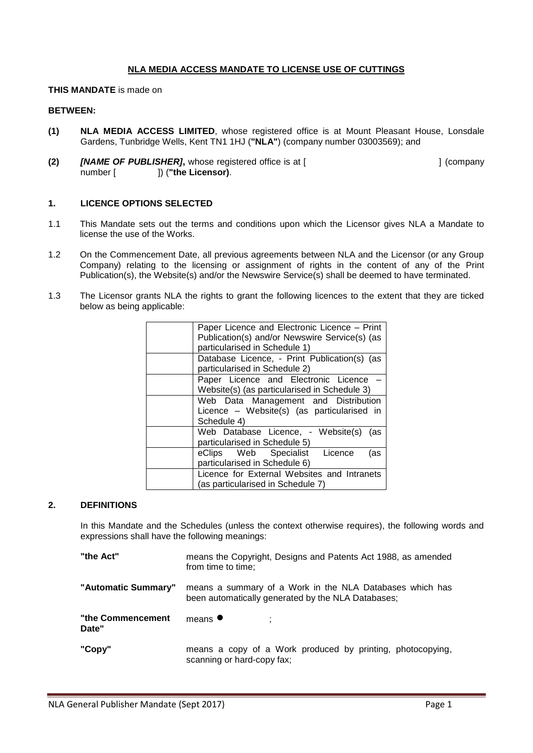# **NLA MEDIA ACCESS MANDATE TO LICENSE USE OF CUTTINGS**

#### **THIS MANDATE** is made on

#### **BETWEEN:**

- **(1) NLA MEDIA ACCESS LIMITED**, whose registered office is at Mount Pleasant House, Lonsdale Gardens, Tunbridge Wells, Kent TN1 1HJ (**"NLA"**) (company number 03003569); and
- **(2)** *[NAME OF PUBLISHER]*, whose registered office is at [  $\qquad$  | (company number [  $\qquad$  ]) ("the Licensor).

#### **1. LICENCE OPTIONS SELECTED**

- 1.1 This Mandate sets out the terms and conditions upon which the Licensor gives NLA a Mandate to license the use of the Works.
- 1.2 On the Commencement Date, all previous agreements between NLA and the Licensor (or any Group Company) relating to the licensing or assignment of rights in the content of any of the Print Publication(s), the Website(s) and/or the Newswire Service(s) shall be deemed to have terminated.
- 1.3 The Licensor grants NLA the rights to grant the following licences to the extent that they are ticked below as being applicable:

| Paper Licence and Electronic Licence - Print  |
|-----------------------------------------------|
| Publication(s) and/or Newswire Service(s) (as |
| particularised in Schedule 1)                 |
| Database Licence, - Print Publication(s) (as  |
| particularised in Schedule 2)                 |
| Paper Licence and Electronic Licence          |
| Website(s) (as particularised in Schedule 3)  |
| Web Data Management and Distribution          |
| Licence – Website(s) (as particularised in    |
| Schedule 4)                                   |
| Web Database Licence, - Website(s) (as        |
| particularised in Schedule 5)                 |
| eClips Web Specialist Licence<br>(as          |
| particularised in Schedule 6)                 |
| Licence for External Websites and Intranets   |
| (as particularised in Schedule 7)             |

#### **2. DEFINITIONS**

In this Mandate and the Schedules (unless the context otherwise requires), the following words and expressions shall have the following meanings:

| "the Act"                  | means the Copyright, Designs and Patents Act 1988, as amended<br>from time to time;                            |
|----------------------------|----------------------------------------------------------------------------------------------------------------|
| "Automatic Summary"        | means a summary of a Work in the NLA Databases which has<br>been automatically generated by the NLA Databases; |
| "the Commencement<br>Date" | means $\bullet$                                                                                                |
| "Copy"                     | means a copy of a Work produced by printing, photocopying,<br>scanning or hard-copy fax;                       |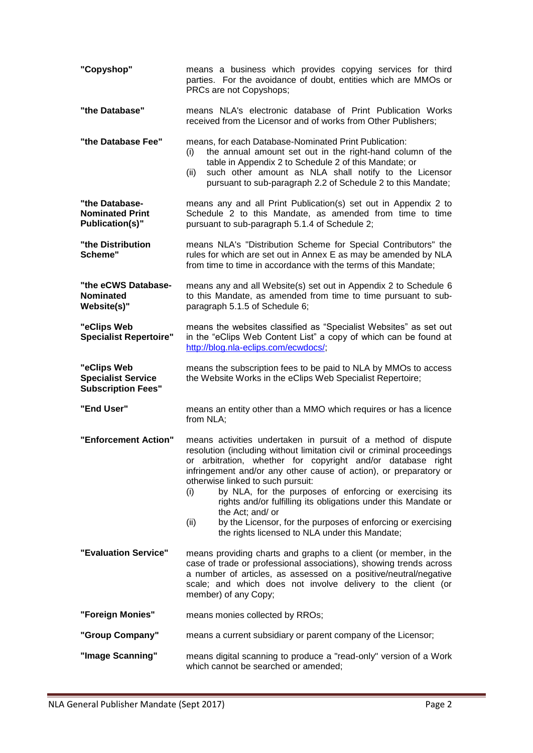| "Copyshop"                                                            | means a business which provides copying services for third<br>parties. For the avoidance of doubt, entities which are MMOs or<br>PRCs are not Copyshops;                                                                                                                                                                                                                                                                                                                                                                                                                                           |
|-----------------------------------------------------------------------|----------------------------------------------------------------------------------------------------------------------------------------------------------------------------------------------------------------------------------------------------------------------------------------------------------------------------------------------------------------------------------------------------------------------------------------------------------------------------------------------------------------------------------------------------------------------------------------------------|
| "the Database"                                                        | means NLA's electronic database of Print Publication Works<br>received from the Licensor and of works from Other Publishers;                                                                                                                                                                                                                                                                                                                                                                                                                                                                       |
| "the Database Fee"                                                    | means, for each Database-Nominated Print Publication:<br>the annual amount set out in the right-hand column of the<br>(i)<br>table in Appendix 2 to Schedule 2 of this Mandate; or<br>such other amount as NLA shall notify to the Licensor<br>(ii)<br>pursuant to sub-paragraph 2.2 of Schedule 2 to this Mandate;                                                                                                                                                                                                                                                                                |
| "the Database-<br><b>Nominated Print</b><br><b>Publication(s)"</b>    | means any and all Print Publication(s) set out in Appendix 2 to<br>Schedule 2 to this Mandate, as amended from time to time<br>pursuant to sub-paragraph 5.1.4 of Schedule 2;                                                                                                                                                                                                                                                                                                                                                                                                                      |
| "the Distribution<br>Scheme"                                          | means NLA's "Distribution Scheme for Special Contributors" the<br>rules for which are set out in Annex E as may be amended by NLA<br>from time to time in accordance with the terms of this Mandate;                                                                                                                                                                                                                                                                                                                                                                                               |
| "the eCWS Database-<br><b>Nominated</b><br>Website(s)"                | means any and all Website(s) set out in Appendix 2 to Schedule 6<br>to this Mandate, as amended from time to time pursuant to sub-<br>paragraph 5.1.5 of Schedule 6;                                                                                                                                                                                                                                                                                                                                                                                                                               |
| "eClips Web<br><b>Specialist Repertoire"</b>                          | means the websites classified as "Specialist Websites" as set out<br>in the "eClips Web Content List" a copy of which can be found at<br>http://blog.nla-eclips.com/ecwdocs/;                                                                                                                                                                                                                                                                                                                                                                                                                      |
| "eClips Web<br><b>Specialist Service</b><br><b>Subscription Fees"</b> | means the subscription fees to be paid to NLA by MMOs to access<br>the Website Works in the eClips Web Specialist Repertoire;                                                                                                                                                                                                                                                                                                                                                                                                                                                                      |
| "End User"                                                            | means an entity other than a MMO which requires or has a licence<br>from NLA;                                                                                                                                                                                                                                                                                                                                                                                                                                                                                                                      |
| "Enforcement Action"                                                  | means activities undertaken in pursuit of a method of dispute<br>resolution (including without limitation civil or criminal proceedings<br>or arbitration, whether for copyright and/or database right<br>infringement and/or any other cause of action), or preparatory or<br>otherwise linked to such pursuit:<br>by NLA, for the purposes of enforcing or exercising its<br>(i)<br>rights and/or fulfilling its obligations under this Mandate or<br>the Act; and/ or<br>by the Licensor, for the purposes of enforcing or exercising<br>(ii)<br>the rights licensed to NLA under this Mandate; |
| "Evaluation Service"                                                  | means providing charts and graphs to a client (or member, in the<br>case of trade or professional associations), showing trends across<br>a number of articles, as assessed on a positive/neutral/negative<br>scale; and which does not involve delivery to the client (or<br>member) of any Copy;                                                                                                                                                                                                                                                                                                 |
| "Foreign Monies"                                                      | means monies collected by RROs;                                                                                                                                                                                                                                                                                                                                                                                                                                                                                                                                                                    |
| "Group Company"                                                       | means a current subsidiary or parent company of the Licensor;                                                                                                                                                                                                                                                                                                                                                                                                                                                                                                                                      |
| "Image Scanning"                                                      | means digital scanning to produce a "read-only" version of a Work<br>which cannot be searched or amended;                                                                                                                                                                                                                                                                                                                                                                                                                                                                                          |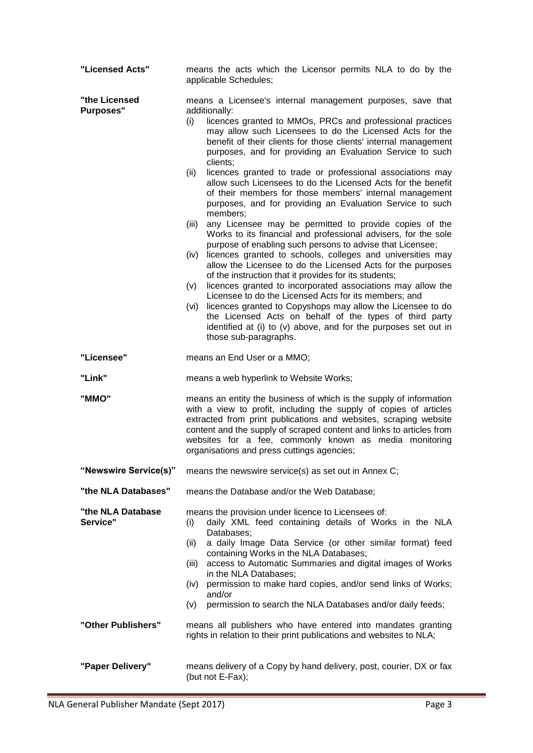| "Licensed Acts"                   | means the acts which the Licensor permits NLA to do by the<br>applicable Schedules;                                                                                                                                                                                                                                                                                                                                                                                                                                                                                                                                                                                                                                                                                                                                                                                                                                                                                                                                                                                                                                                                                                                                                                                                                                                                                                           |  |  |  |  |
|-----------------------------------|-----------------------------------------------------------------------------------------------------------------------------------------------------------------------------------------------------------------------------------------------------------------------------------------------------------------------------------------------------------------------------------------------------------------------------------------------------------------------------------------------------------------------------------------------------------------------------------------------------------------------------------------------------------------------------------------------------------------------------------------------------------------------------------------------------------------------------------------------------------------------------------------------------------------------------------------------------------------------------------------------------------------------------------------------------------------------------------------------------------------------------------------------------------------------------------------------------------------------------------------------------------------------------------------------------------------------------------------------------------------------------------------------|--|--|--|--|
| "the Licensed<br><b>Purposes"</b> | means a Licensee's internal management purposes, save that<br>additionally:<br>licences granted to MMOs, PRCs and professional practices<br>(i)<br>may allow such Licensees to do the Licensed Acts for the<br>benefit of their clients for those clients' internal management<br>purposes, and for providing an Evaluation Service to such<br>clients;<br>licences granted to trade or professional associations may<br>(ii)<br>allow such Licensees to do the Licensed Acts for the benefit<br>of their members for those members' internal management<br>purposes, and for providing an Evaluation Service to such<br>members;<br>any Licensee may be permitted to provide copies of the<br>(iii)<br>Works to its financial and professional advisers, for the sole<br>purpose of enabling such persons to advise that Licensee;<br>licences granted to schools, colleges and universities may<br>(iv)<br>allow the Licensee to do the Licensed Acts for the purposes<br>of the instruction that it provides for its students;<br>licences granted to incorporated associations may allow the<br>(v)<br>Licensee to do the Licensed Acts for its members; and<br>licences granted to Copyshops may allow the Licensee to do<br>(vi)<br>the Licensed Acts on behalf of the types of third party<br>identified at (i) to (v) above, and for the purposes set out in<br>those sub-paragraphs. |  |  |  |  |
| "Licensee"                        | means an End User or a MMO;                                                                                                                                                                                                                                                                                                                                                                                                                                                                                                                                                                                                                                                                                                                                                                                                                                                                                                                                                                                                                                                                                                                                                                                                                                                                                                                                                                   |  |  |  |  |
| "Link"                            | means a web hyperlink to Website Works;                                                                                                                                                                                                                                                                                                                                                                                                                                                                                                                                                                                                                                                                                                                                                                                                                                                                                                                                                                                                                                                                                                                                                                                                                                                                                                                                                       |  |  |  |  |
| "MMO"                             | means an entity the business of which is the supply of information<br>with a view to profit, including the supply of copies of articles<br>extracted from print publications and websites, scraping website<br>content and the supply of scraped content and links to articles from<br>websites for a fee, commonly known as media monitoring<br>organisations and press cuttings agencies;                                                                                                                                                                                                                                                                                                                                                                                                                                                                                                                                                                                                                                                                                                                                                                                                                                                                                                                                                                                                   |  |  |  |  |
| "Newswire Service(s)"             | means the newswire service(s) as set out in Annex C;                                                                                                                                                                                                                                                                                                                                                                                                                                                                                                                                                                                                                                                                                                                                                                                                                                                                                                                                                                                                                                                                                                                                                                                                                                                                                                                                          |  |  |  |  |
| "the NLA Databases"               | means the Database and/or the Web Database;                                                                                                                                                                                                                                                                                                                                                                                                                                                                                                                                                                                                                                                                                                                                                                                                                                                                                                                                                                                                                                                                                                                                                                                                                                                                                                                                                   |  |  |  |  |
| "the NLA Database<br>Service"     | means the provision under licence to Licensees of:<br>daily XML feed containing details of Works in the NLA<br>(i)<br>Databases;<br>a daily Image Data Service (or other similar format) feed<br>(ii)<br>containing Works in the NLA Databases;<br>access to Automatic Summaries and digital images of Works<br>(iii)<br>in the NLA Databases;<br>permission to make hard copies, and/or send links of Works;<br>(iv)<br>and/or<br>permission to search the NLA Databases and/or daily feeds;<br>(v)                                                                                                                                                                                                                                                                                                                                                                                                                                                                                                                                                                                                                                                                                                                                                                                                                                                                                          |  |  |  |  |
| "Other Publishers"                | means all publishers who have entered into mandates granting<br>rights in relation to their print publications and websites to NLA;                                                                                                                                                                                                                                                                                                                                                                                                                                                                                                                                                                                                                                                                                                                                                                                                                                                                                                                                                                                                                                                                                                                                                                                                                                                           |  |  |  |  |
| "Paper Delivery"                  | means delivery of a Copy by hand delivery, post, courier, DX or fax<br>(but not E-Fax);                                                                                                                                                                                                                                                                                                                                                                                                                                                                                                                                                                                                                                                                                                                                                                                                                                                                                                                                                                                                                                                                                                                                                                                                                                                                                                       |  |  |  |  |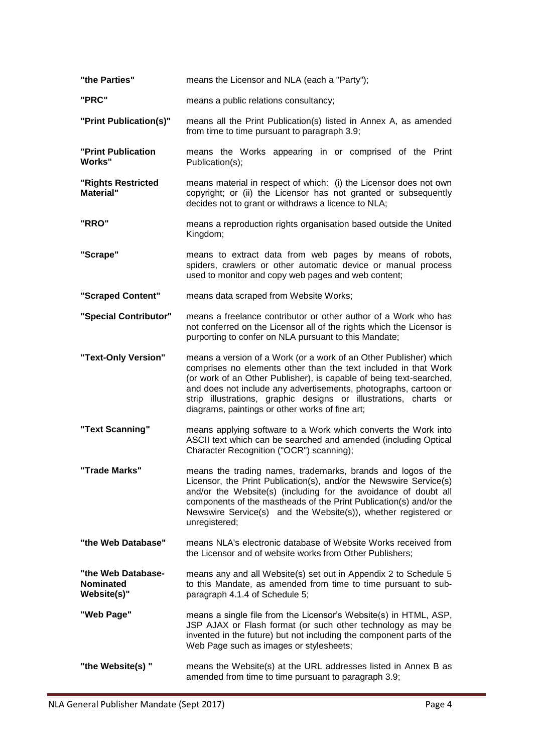| "the Parties"                                         | means the Licensor and NLA (each a "Party");                                                                                                                                                                                                                                                                                                                                                           |
|-------------------------------------------------------|--------------------------------------------------------------------------------------------------------------------------------------------------------------------------------------------------------------------------------------------------------------------------------------------------------------------------------------------------------------------------------------------------------|
| "PRC"                                                 | means a public relations consultancy;                                                                                                                                                                                                                                                                                                                                                                  |
| "Print Publication(s)"                                | means all the Print Publication(s) listed in Annex A, as amended<br>from time to time pursuant to paragraph 3.9;                                                                                                                                                                                                                                                                                       |
| "Print Publication<br><b>Works"</b>                   | means the Works appearing in or comprised of the Print<br>Publication(s);                                                                                                                                                                                                                                                                                                                              |
| "Rights Restricted<br><b>Material</b> "               | means material in respect of which: (i) the Licensor does not own<br>copyright; or (ii) the Licensor has not granted or subsequently<br>decides not to grant or withdraws a licence to NLA;                                                                                                                                                                                                            |
| "RRO"                                                 | means a reproduction rights organisation based outside the United<br>Kingdom;                                                                                                                                                                                                                                                                                                                          |
| "Scrape"                                              | means to extract data from web pages by means of robots,<br>spiders, crawlers or other automatic device or manual process<br>used to monitor and copy web pages and web content;                                                                                                                                                                                                                       |
| "Scraped Content"                                     | means data scraped from Website Works;                                                                                                                                                                                                                                                                                                                                                                 |
| "Special Contributor"                                 | means a freelance contributor or other author of a Work who has<br>not conferred on the Licensor all of the rights which the Licensor is<br>purporting to confer on NLA pursuant to this Mandate;                                                                                                                                                                                                      |
| "Text-Only Version"                                   | means a version of a Work (or a work of an Other Publisher) which<br>comprises no elements other than the text included in that Work<br>(or work of an Other Publisher), is capable of being text-searched,<br>and does not include any advertisements, photographs, cartoon or<br>strip illustrations, graphic designs or illustrations, charts or<br>diagrams, paintings or other works of fine art; |
| "Text Scanning"                                       | means applying software to a Work which converts the Work into<br>ASCII text which can be searched and amended (including Optical<br>Character Recognition ("OCR") scanning);                                                                                                                                                                                                                          |
| "Trade Marks"                                         | means the trading names, trademarks, brands and logos of the<br>Licensor, the Print Publication(s), and/or the Newswire Service(s)<br>and/or the Website(s) (including for the avoidance of doubt all<br>components of the mastheads of the Print Publication(s) and/or the<br>Newswire Service(s) and the Website(s)), whether registered or<br>unregistered;                                         |
| "the Web Database"                                    | means NLA's electronic database of Website Works received from<br>the Licensor and of website works from Other Publishers;                                                                                                                                                                                                                                                                             |
| "the Web Database-<br><b>Nominated</b><br>Website(s)" | means any and all Website(s) set out in Appendix 2 to Schedule 5<br>to this Mandate, as amended from time to time pursuant to sub-<br>paragraph 4.1.4 of Schedule 5;                                                                                                                                                                                                                                   |
| "Web Page"                                            | means a single file from the Licensor's Website(s) in HTML, ASP,<br>JSP AJAX or Flash format (or such other technology as may be<br>invented in the future) but not including the component parts of the<br>Web Page such as images or stylesheets;                                                                                                                                                    |
| "the Website(s)"                                      | means the Website(s) at the URL addresses listed in Annex B as<br>amended from time to time pursuant to paragraph 3.9;                                                                                                                                                                                                                                                                                 |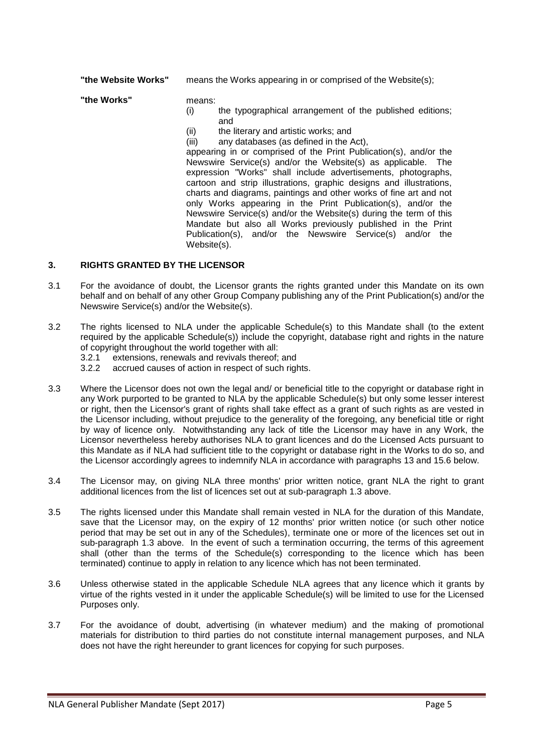**"the Website Works"** means the Works appearing in or comprised of the Website(s);

**"the Works"** means:

- 
- (i) the typographical arrangement of the published editions; and
- (ii) the literary and artistic works; and<br>(iii) any databases (as defined in the  $\beta$
- any databases (as defined in the Act),

appearing in or comprised of the Print Publication(s), and/or the Newswire Service(s) and/or the Website(s) as applicable. The expression "Works" shall include advertisements, photographs, cartoon and strip illustrations, graphic designs and illustrations, charts and diagrams, paintings and other works of fine art and not only Works appearing in the Print Publication(s), and/or the Newswire Service(s) and/or the Website(s) during the term of this Mandate but also all Works previously published in the Print Publication(s), and/or the Newswire Service(s) and/or the Website(s).

# **3. RIGHTS GRANTED BY THE LICENSOR**

- 3.1 For the avoidance of doubt, the Licensor grants the rights granted under this Mandate on its own behalf and on behalf of any other Group Company publishing any of the Print Publication(s) and/or the Newswire Service(s) and/or the Website(s).
- 3.2 The rights licensed to NLA under the applicable Schedule(s) to this Mandate shall (to the extent required by the applicable Schedule(s)) include the copyright, database right and rights in the nature of copyright throughout the world together with all:<br>3.2.1 extensions, renewals and revivals thereof:
	- 3.2.1 extensions, renewals and revivals thereof; and 3.2.2 accrued causes of action in respect of such right
	- accrued causes of action in respect of such rights.
- 3.3 Where the Licensor does not own the legal and/ or beneficial title to the copyright or database right in any Work purported to be granted to NLA by the applicable Schedule(s) but only some lesser interest or right, then the Licensor's grant of rights shall take effect as a grant of such rights as are vested in the Licensor including, without prejudice to the generality of the foregoing, any beneficial title or right by way of licence only. Notwithstanding any lack of title the Licensor may have in any Work, the Licensor nevertheless hereby authorises NLA to grant licences and do the Licensed Acts pursuant to this Mandate as if NLA had sufficient title to the copyright or database right in the Works to do so, and the Licensor accordingly agrees to indemnify NLA in accordance with paragraphs 13 and 15.6 below.
- 3.4 The Licensor may, on giving NLA three months' prior written notice, grant NLA the right to grant additional licences from the list of licences set out at sub-paragraph 1.3 above.
- 3.5 The rights licensed under this Mandate shall remain vested in NLA for the duration of this Mandate, save that the Licensor may, on the expiry of 12 months' prior written notice (or such other notice period that may be set out in any of the Schedules), terminate one or more of the licences set out in sub-paragraph 1.3 above. In the event of such a termination occurring, the terms of this agreement shall (other than the terms of the Schedule(s) corresponding to the licence which has been terminated) continue to apply in relation to any licence which has not been terminated.
- 3.6 Unless otherwise stated in the applicable Schedule NLA agrees that any licence which it grants by virtue of the rights vested in it under the applicable Schedule(s) will be limited to use for the Licensed Purposes only.
- 3.7 For the avoidance of doubt, advertising (in whatever medium) and the making of promotional materials for distribution to third parties do not constitute internal management purposes, and NLA does not have the right hereunder to grant licences for copying for such purposes.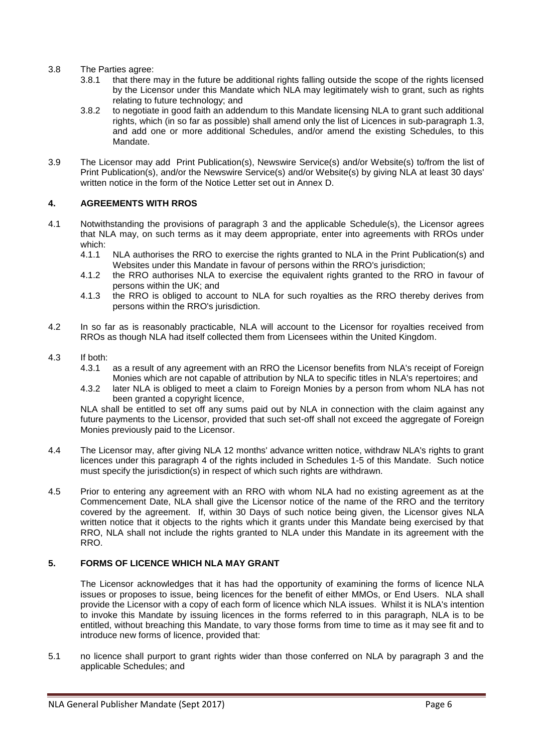- 3.8 The Parties agree:
	- 3.8.1 that there may in the future be additional rights falling outside the scope of the rights licensed by the Licensor under this Mandate which NLA may legitimately wish to grant, such as rights relating to future technology; and
	- 3.8.2 to negotiate in good faith an addendum to this Mandate licensing NLA to grant such additional rights, which (in so far as possible) shall amend only the list of Licences in sub-paragraph 1.3, and add one or more additional Schedules, and/or amend the existing Schedules, to this Mandate.
- 3.9 The Licensor may add Print Publication(s), Newswire Service(s) and/or Website(s) to/from the list of Print Publication(s), and/or the Newswire Service(s) and/or Website(s) by giving NLA at least 30 days' written notice in the form of the Notice Letter set out in Annex D.

## **4. AGREEMENTS WITH RROS**

- 4.1 Notwithstanding the provisions of paragraph 3 and the applicable Schedule(s), the Licensor agrees that NLA may, on such terms as it may deem appropriate, enter into agreements with RROs under which:<br>4.1.1
	- NLA authorises the RRO to exercise the rights granted to NLA in the Print Publication(s) and Websites under this Mandate in favour of persons within the RRO's jurisdiction;
	- 4.1.2 the RRO authorises NLA to exercise the equivalent rights granted to the RRO in favour of persons within the UK; and
	- 4.1.3 the RRO is obliged to account to NLA for such royalties as the RRO thereby derives from persons within the RRO's jurisdiction.
- 4.2 In so far as is reasonably practicable, NLA will account to the Licensor for royalties received from RROs as though NLA had itself collected them from Licensees within the United Kingdom.
- 4.3 If both:
	- as a result of any agreement with an RRO the Licensor benefits from NLA's receipt of Foreign Monies which are not capable of attribution by NLA to specific titles in NLA's repertoires; and
	- 4.3.2 later NLA is obliged to meet a claim to Foreign Monies by a person from whom NLA has not been granted a copyright licence,

NLA shall be entitled to set off any sums paid out by NLA in connection with the claim against any future payments to the Licensor, provided that such set-off shall not exceed the aggregate of Foreign Monies previously paid to the Licensor.

- 4.4 The Licensor may, after giving NLA 12 months' advance written notice, withdraw NLA's rights to grant licences under this paragraph 4 of the rights included in Schedules 1-5 of this Mandate. Such notice must specify the jurisdiction(s) in respect of which such rights are withdrawn.
- 4.5 Prior to entering any agreement with an RRO with whom NLA had no existing agreement as at the Commencement Date, NLA shall give the Licensor notice of the name of the RRO and the territory covered by the agreement. If, within 30 Days of such notice being given, the Licensor gives NLA written notice that it objects to the rights which it grants under this Mandate being exercised by that RRO, NLA shall not include the rights granted to NLA under this Mandate in its agreement with the RRO.

# **5. FORMS OF LICENCE WHICH NLA MAY GRANT**

The Licensor acknowledges that it has had the opportunity of examining the forms of licence NLA issues or proposes to issue, being licences for the benefit of either MMOs, or End Users. NLA shall provide the Licensor with a copy of each form of licence which NLA issues. Whilst it is NLA's intention to invoke this Mandate by issuing licences in the forms referred to in this paragraph, NLA is to be entitled, without breaching this Mandate, to vary those forms from time to time as it may see fit and to introduce new forms of licence, provided that:

5.1 no licence shall purport to grant rights wider than those conferred on NLA by paragraph 3 and the applicable Schedules; and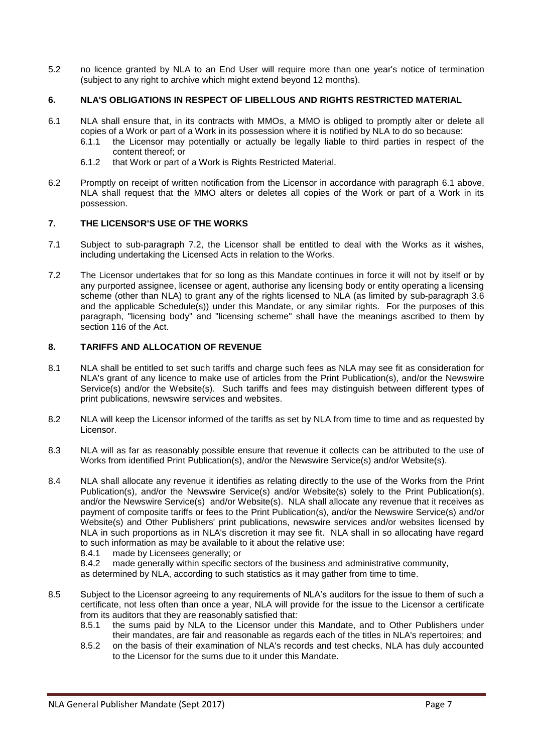5.2 no licence granted by NLA to an End User will require more than one year's notice of termination (subject to any right to archive which might extend beyond 12 months).

## **6. NLA'S OBLIGATIONS IN RESPECT OF LIBELLOUS AND RIGHTS RESTRICTED MATERIAL**

- 6.1 NLA shall ensure that, in its contracts with MMOs, a MMO is obliged to promptly alter or delete all copies of a Work or part of a Work in its possession where it is notified by NLA to do so because:<br>6.1.1 the Licensor may potentially or actually be legally liable to third parties in respect of
	- the Licensor may potentially or actually be legally liable to third parties in respect of the content thereof; or
	- 6.1.2 that Work or part of a Work is Rights Restricted Material.
- 6.2 Promptly on receipt of written notification from the Licensor in accordance with paragraph 6.1 above, NLA shall request that the MMO alters or deletes all copies of the Work or part of a Work in its possession.

#### **7. THE LICENSOR'S USE OF THE WORKS**

- 7.1 Subject to sub-paragraph 7.2, the Licensor shall be entitled to deal with the Works as it wishes, including undertaking the Licensed Acts in relation to the Works.
- 7.2 The Licensor undertakes that for so long as this Mandate continues in force it will not by itself or by any purported assignee, licensee or agent, authorise any licensing body or entity operating a licensing scheme (other than NLA) to grant any of the rights licensed to NLA (as limited by sub-paragraph 3.6 and the applicable Schedule(s)) under this Mandate, or any similar rights. For the purposes of this paragraph, "licensing body" and "licensing scheme" shall have the meanings ascribed to them by section 116 of the Act.

# **8. TARIFFS AND ALLOCATION OF REVENUE**

- 8.1 NLA shall be entitled to set such tariffs and charge such fees as NLA may see fit as consideration for NLA's grant of any licence to make use of articles from the Print Publication(s), and/or the Newswire Service(s) and/or the Website(s). Such tariffs and fees may distinguish between different types of print publications, newswire services and websites.
- 8.2 NLA will keep the Licensor informed of the tariffs as set by NLA from time to time and as requested by Licensor.
- 8.3 NLA will as far as reasonably possible ensure that revenue it collects can be attributed to the use of Works from identified Print Publication(s), and/or the Newswire Service(s) and/or Website(s).
- 8.4 NLA shall allocate any revenue it identifies as relating directly to the use of the Works from the Print Publication(s), and/or the Newswire Service(s) and/or Website(s) solely to the Print Publication(s), and/or the Newswire Service(s) and/or Website(s). NLA shall allocate any revenue that it receives as payment of composite tariffs or fees to the Print Publication(s), and/or the Newswire Service(s) and/or Website(s) and Other Publishers' print publications, newswire services and/or websites licensed by NLA in such proportions as in NLA's discretion it may see fit. NLA shall in so allocating have regard to such information as may be available to it about the relative use:
	- 8.4.1 made by Licensees generally; or 8.4.2 made generally within specific se
	- made generally within specific sectors of the business and administrative community,

as determined by NLA, according to such statistics as it may gather from time to time.

- 8.5 Subject to the Licensor agreeing to any requirements of NLA's auditors for the issue to them of such a certificate, not less often than once a year, NLA will provide for the issue to the Licensor a certificate from its auditors that they are reasonably satisfied that:
	- 8.5.1 the sums paid by NLA to the Licensor under this Mandate, and to Other Publishers under their mandates, are fair and reasonable as regards each of the titles in NLA's repertoires; and
	- 8.5.2 on the basis of their examination of NLA's records and test checks, NLA has duly accounted to the Licensor for the sums due to it under this Mandate.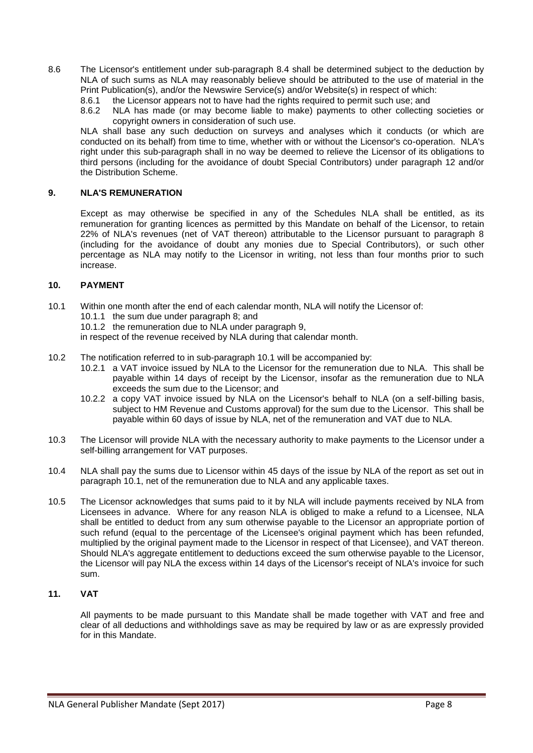- 8.6 The Licensor's entitlement under sub-paragraph 8.4 shall be determined subject to the deduction by NLA of such sums as NLA may reasonably believe should be attributed to the use of material in the Print Publication(s), and/or the Newswire Service(s) and/or Website(s) in respect of which:
	- 8.6.1 the Licensor appears not to have had the rights required to permit such use; and
	- 8.6.2 NLA has made (or may become liable to make) payments to other collecting societies or copyright owners in consideration of such use.

NLA shall base any such deduction on surveys and analyses which it conducts (or which are conducted on its behalf) from time to time, whether with or without the Licensor's co-operation. NLA's right under this sub-paragraph shall in no way be deemed to relieve the Licensor of its obligations to third persons (including for the avoidance of doubt Special Contributors) under paragraph 12 and/or the Distribution Scheme.

# **9. NLA'S REMUNERATION**

Except as may otherwise be specified in any of the Schedules NLA shall be entitled, as its remuneration for granting licences as permitted by this Mandate on behalf of the Licensor, to retain 22% of NLA's revenues (net of VAT thereon) attributable to the Licensor pursuant to paragraph 8 (including for the avoidance of doubt any monies due to Special Contributors), or such other percentage as NLA may notify to the Licensor in writing, not less than four months prior to such increase.

### **10. PAYMENT**

- 10.1 Within one month after the end of each calendar month, NLA will notify the Licensor of:
	- 10.1.1 the sum due under paragraph 8; and
	- 10.1.2 the remuneration due to NLA under paragraph 9,

in respect of the revenue received by NLA during that calendar month.

- 10.2 The notification referred to in sub-paragraph 10.1 will be accompanied by:
	- 10.2.1 a VAT invoice issued by NLA to the Licensor for the remuneration due to NLA. This shall be payable within 14 days of receipt by the Licensor, insofar as the remuneration due to NLA exceeds the sum due to the Licensor; and
	- 10.2.2 a copy VAT invoice issued by NLA on the Licensor's behalf to NLA (on a self-billing basis, subject to HM Revenue and Customs approval) for the sum due to the Licensor. This shall be payable within 60 days of issue by NLA, net of the remuneration and VAT due to NLA.
- 10.3 The Licensor will provide NLA with the necessary authority to make payments to the Licensor under a self-billing arrangement for VAT purposes.
- 10.4 NLA shall pay the sums due to Licensor within 45 days of the issue by NLA of the report as set out in paragraph 10.1, net of the remuneration due to NLA and any applicable taxes.
- 10.5 The Licensor acknowledges that sums paid to it by NLA will include payments received by NLA from Licensees in advance. Where for any reason NLA is obliged to make a refund to a Licensee, NLA shall be entitled to deduct from any sum otherwise payable to the Licensor an appropriate portion of such refund (equal to the percentage of the Licensee's original payment which has been refunded, multiplied by the original payment made to the Licensor in respect of that Licensee), and VAT thereon. Should NLA's aggregate entitlement to deductions exceed the sum otherwise payable to the Licensor, the Licensor will pay NLA the excess within 14 days of the Licensor's receipt of NLA's invoice for such sum.

# **11. VAT**

All payments to be made pursuant to this Mandate shall be made together with VAT and free and clear of all deductions and withholdings save as may be required by law or as are expressly provided for in this Mandate.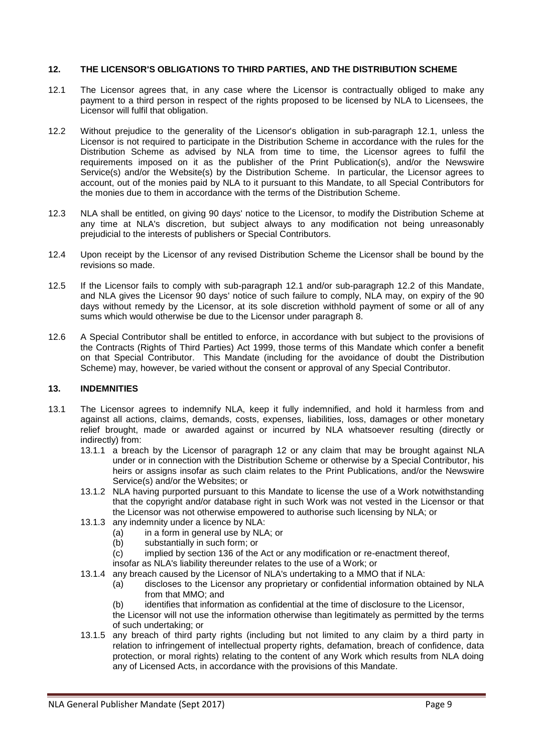### **12. THE LICENSOR'S OBLIGATIONS TO THIRD PARTIES, AND THE DISTRIBUTION SCHEME**

- 12.1 The Licensor agrees that, in any case where the Licensor is contractually obliged to make any payment to a third person in respect of the rights proposed to be licensed by NLA to Licensees, the Licensor will fulfil that obligation.
- 12.2 Without prejudice to the generality of the Licensor's obligation in sub-paragraph 12.1, unless the Licensor is not required to participate in the Distribution Scheme in accordance with the rules for the Distribution Scheme as advised by NLA from time to time, the Licensor agrees to fulfil the requirements imposed on it as the publisher of the Print Publication(s), and/or the Newswire Service(s) and/or the Website(s) by the Distribution Scheme. In particular, the Licensor agrees to account, out of the monies paid by NLA to it pursuant to this Mandate, to all Special Contributors for the monies due to them in accordance with the terms of the Distribution Scheme.
- 12.3 NLA shall be entitled, on giving 90 days' notice to the Licensor, to modify the Distribution Scheme at any time at NLA's discretion, but subject always to any modification not being unreasonably prejudicial to the interests of publishers or Special Contributors.
- 12.4 Upon receipt by the Licensor of any revised Distribution Scheme the Licensor shall be bound by the revisions so made.
- 12.5 If the Licensor fails to comply with sub-paragraph 12.1 and/or sub-paragraph 12.2 of this Mandate, and NLA gives the Licensor 90 days' notice of such failure to comply, NLA may, on expiry of the 90 days without remedy by the Licensor, at its sole discretion withhold payment of some or all of any sums which would otherwise be due to the Licensor under paragraph 8.
- 12.6 A Special Contributor shall be entitled to enforce, in accordance with but subject to the provisions of the Contracts (Rights of Third Parties) Act 1999, those terms of this Mandate which confer a benefit on that Special Contributor. This Mandate (including for the avoidance of doubt the Distribution Scheme) may, however, be varied without the consent or approval of any Special Contributor.

#### **13. INDEMNITIES**

- 13.1 The Licensor agrees to indemnify NLA, keep it fully indemnified, and hold it harmless from and against all actions, claims, demands, costs, expenses, liabilities, loss, damages or other monetary relief brought, made or awarded against or incurred by NLA whatsoever resulting (directly or indirectly) from:
	- 13.1.1 a breach by the Licensor of paragraph 12 or any claim that may be brought against NLA under or in connection with the Distribution Scheme or otherwise by a Special Contributor, his heirs or assigns insofar as such claim relates to the Print Publications, and/or the Newswire Service(s) and/or the Websites; or
	- 13.1.2 NLA having purported pursuant to this Mandate to license the use of a Work notwithstanding that the copyright and/or database right in such Work was not vested in the Licensor or that the Licensor was not otherwise empowered to authorise such licensing by NLA; or
	- 13.1.3 any indemnity under a licence by NLA:
		- (a) in a form in general use by NLA; or
		- (b) substantially in such form; or
		- (c) implied by section 136 of the Act or any modification or re-enactment thereof,
		- insofar as NLA's liability thereunder relates to the use of a Work; or
	- 13.1.4 any breach caused by the Licensor of NLA's undertaking to a MMO that if NLA:
		- (a) discloses to the Licensor any proprietary or confidential information obtained by NLA from that MMO; and
		- (b) identifies that information as confidential at the time of disclosure to the Licensor,

the Licensor will not use the information otherwise than legitimately as permitted by the terms of such undertaking; or

13.1.5 any breach of third party rights (including but not limited to any claim by a third party in relation to infringement of intellectual property rights, defamation, breach of confidence, data protection, or moral rights) relating to the content of any Work which results from NLA doing any of Licensed Acts, in accordance with the provisions of this Mandate.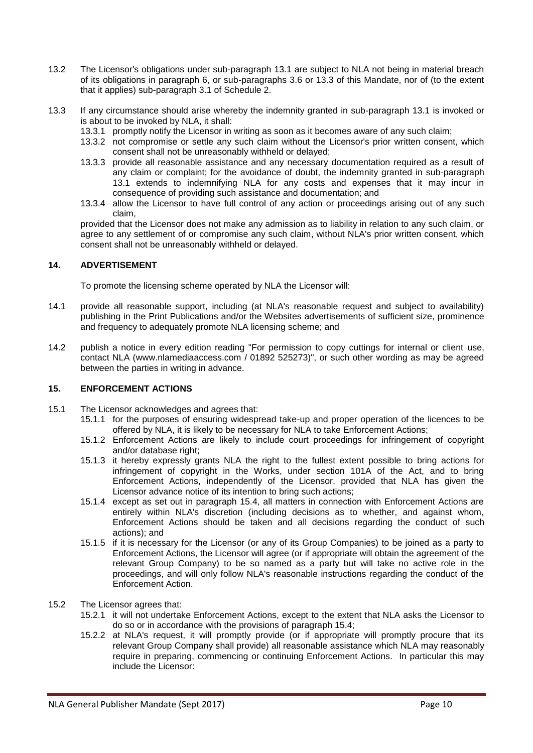- 13.2 The Licensor's obligations under sub-paragraph 13.1 are subject to NLA not being in material breach of its obligations in paragraph 6, or sub-paragraphs 3.6 or 13.3 of this Mandate, nor of (to the extent that it applies) sub-paragraph 3.1 of Schedule 2.
- 13.3 If any circumstance should arise whereby the indemnity granted in sub-paragraph 13.1 is invoked or is about to be invoked by NLA, it shall:
	- 13.3.1 promptly notify the Licensor in writing as soon as it becomes aware of any such claim;
	- 13.3.2 not compromise or settle any such claim without the Licensor's prior written consent, which consent shall not be unreasonably withheld or delayed;
	- 13.3.3 provide all reasonable assistance and any necessary documentation required as a result of any claim or complaint; for the avoidance of doubt, the indemnity granted in sub-paragraph 13.1 extends to indemnifying NLA for any costs and expenses that it may incur in consequence of providing such assistance and documentation; and
	- 13.3.4 allow the Licensor to have full control of any action or proceedings arising out of any such claim,

provided that the Licensor does not make any admission as to liability in relation to any such claim, or agree to any settlement of or compromise any such claim, without NLA's prior written consent, which consent shall not be unreasonably withheld or delayed.

# **14. ADVERTISEMENT**

To promote the licensing scheme operated by NLA the Licensor will:

- 14.1 provide all reasonable support, including (at NLA's reasonable request and subject to availability) publishing in the Print Publications and/or the Websites advertisements of sufficient size, prominence and frequency to adequately promote NLA licensing scheme; and
- 14.2 publish a notice in every edition reading "For permission to copy cuttings for internal or client use, contact NLA (www.nlamediaaccess.com / 01892 525273)", or such other wording as may be agreed between the parties in writing in advance.

## **15. ENFORCEMENT ACTIONS**

- 15.1 The Licensor acknowledges and agrees that:
	- 15.1.1 for the purposes of ensuring widespread take-up and proper operation of the licences to be offered by NLA, it is likely to be necessary for NLA to take Enforcement Actions;
	- 15.1.2 Enforcement Actions are likely to include court proceedings for infringement of copyright and/or database right:
	- 15.1.3 it hereby expressly grants NLA the right to the fullest extent possible to bring actions for infringement of copyright in the Works, under section 101A of the Act, and to bring Enforcement Actions, independently of the Licensor, provided that NLA has given the Licensor advance notice of its intention to bring such actions;
	- 15.1.4 except as set out in paragraph 15.4, all matters in connection with Enforcement Actions are entirely within NLA's discretion (including decisions as to whether, and against whom, Enforcement Actions should be taken and all decisions regarding the conduct of such actions); and
	- 15.1.5 if it is necessary for the Licensor (or any of its Group Companies) to be joined as a party to Enforcement Actions, the Licensor will agree (or if appropriate will obtain the agreement of the relevant Group Company) to be so named as a party but will take no active role in the proceedings, and will only follow NLA's reasonable instructions regarding the conduct of the Enforcement Action.
- 15.2 The Licensor agrees that:
	- 15.2.1 it will not undertake Enforcement Actions, except to the extent that NLA asks the Licensor to do so or in accordance with the provisions of paragraph 15.4;
	- 15.2.2 at NLA's request, it will promptly provide (or if appropriate will promptly procure that its relevant Group Company shall provide) all reasonable assistance which NLA may reasonably require in preparing, commencing or continuing Enforcement Actions. In particular this may include the Licensor: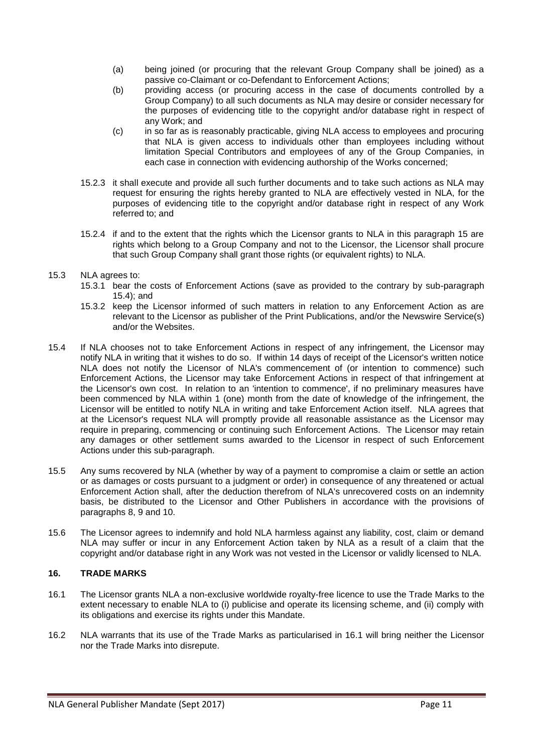- (a) being joined (or procuring that the relevant Group Company shall be joined) as a passive co-Claimant or co-Defendant to Enforcement Actions;
- (b) providing access (or procuring access in the case of documents controlled by a Group Company) to all such documents as NLA may desire or consider necessary for the purposes of evidencing title to the copyright and/or database right in respect of any Work; and
- (c) in so far as is reasonably practicable, giving NLA access to employees and procuring that NLA is given access to individuals other than employees including without limitation Special Contributors and employees of any of the Group Companies, in each case in connection with evidencing authorship of the Works concerned;
- 15.2.3 it shall execute and provide all such further documents and to take such actions as NLA may request for ensuring the rights hereby granted to NLA are effectively vested in NLA, for the purposes of evidencing title to the copyright and/or database right in respect of any Work referred to; and
- 15.2.4 if and to the extent that the rights which the Licensor grants to NLA in this paragraph 15 are rights which belong to a Group Company and not to the Licensor, the Licensor shall procure that such Group Company shall grant those rights (or equivalent rights) to NLA.

## 15.3 NLA agrees to:

- 15.3.1 bear the costs of Enforcement Actions (save as provided to the contrary by sub-paragraph 15.4); and
- 15.3.2 keep the Licensor informed of such matters in relation to any Enforcement Action as are relevant to the Licensor as publisher of the Print Publications, and/or the Newswire Service(s) and/or the Websites.
- 15.4 If NLA chooses not to take Enforcement Actions in respect of any infringement, the Licensor may notify NLA in writing that it wishes to do so. If within 14 days of receipt of the Licensor's written notice NLA does not notify the Licensor of NLA's commencement of (or intention to commence) such Enforcement Actions, the Licensor may take Enforcement Actions in respect of that infringement at the Licensor's own cost. In relation to an 'intention to commence', if no preliminary measures have been commenced by NLA within 1 (one) month from the date of knowledge of the infringement, the Licensor will be entitled to notify NLA in writing and take Enforcement Action itself. NLA agrees that at the Licensor's request NLA will promptly provide all reasonable assistance as the Licensor may require in preparing, commencing or continuing such Enforcement Actions. The Licensor may retain any damages or other settlement sums awarded to the Licensor in respect of such Enforcement Actions under this sub-paragraph.
- 15.5 Any sums recovered by NLA (whether by way of a payment to compromise a claim or settle an action or as damages or costs pursuant to a judgment or order) in consequence of any threatened or actual Enforcement Action shall, after the deduction therefrom of NLA's unrecovered costs on an indemnity basis, be distributed to the Licensor and Other Publishers in accordance with the provisions of paragraphs 8, 9 and 10.
- 15.6 The Licensor agrees to indemnify and hold NLA harmless against any liability, cost, claim or demand NLA may suffer or incur in any Enforcement Action taken by NLA as a result of a claim that the copyright and/or database right in any Work was not vested in the Licensor or validly licensed to NLA.

# **16. TRADE MARKS**

- 16.1 The Licensor grants NLA a non-exclusive worldwide royalty-free licence to use the Trade Marks to the extent necessary to enable NLA to (i) publicise and operate its licensing scheme, and (ii) comply with its obligations and exercise its rights under this Mandate.
- 16.2 NLA warrants that its use of the Trade Marks as particularised in 16.1 will bring neither the Licensor nor the Trade Marks into disrepute.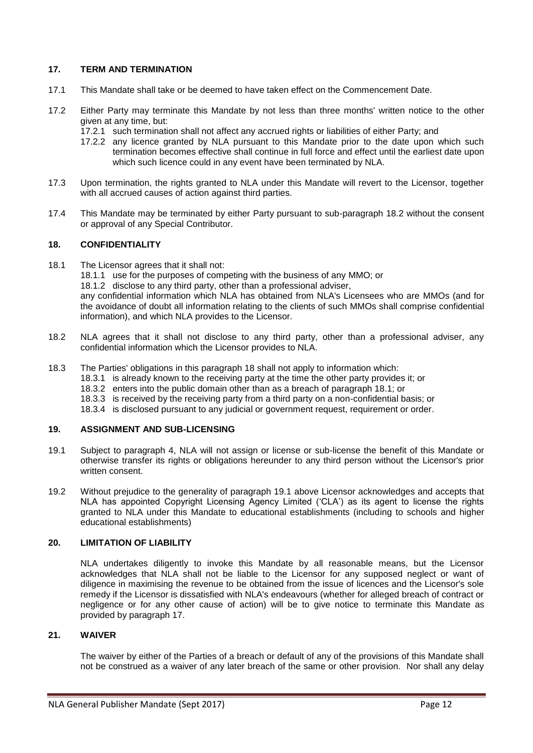## **17. TERM AND TERMINATION**

- 17.1 This Mandate shall take or be deemed to have taken effect on the Commencement Date.
- 17.2 Either Party may terminate this Mandate by not less than three months' written notice to the other given at any time, but:
	- 17.2.1 such termination shall not affect any accrued rights or liabilities of either Party; and
	- 17.2.2 any licence granted by NLA pursuant to this Mandate prior to the date upon which such termination becomes effective shall continue in full force and effect until the earliest date upon which such licence could in any event have been terminated by NLA.
- 17.3 Upon termination, the rights granted to NLA under this Mandate will revert to the Licensor, together with all accrued causes of action against third parties.
- 17.4 This Mandate may be terminated by either Party pursuant to sub-paragraph 18.2 without the consent or approval of any Special Contributor.

## **18. CONFIDENTIALITY**

18.1 The Licensor agrees that it shall not:

18.1.1 use for the purposes of competing with the business of any MMO; or

18.1.2 disclose to any third party, other than a professional adviser,

any confidential information which NLA has obtained from NLA's Licensees who are MMOs (and for the avoidance of doubt all information relating to the clients of such MMOs shall comprise confidential information), and which NLA provides to the Licensor.

- 18.2 NLA agrees that it shall not disclose to any third party, other than a professional adviser, any confidential information which the Licensor provides to NLA.
- 18.3 The Parties' obligations in this paragraph 18 shall not apply to information which:
	- 18.3.1 is already known to the receiving party at the time the other party provides it; or
	- 18.3.2 enters into the public domain other than as a breach of paragraph 18.1; or
	- 18.3.3 is received by the receiving party from a third party on a non-confidential basis; or
	- 18.3.4 is disclosed pursuant to any judicial or government request, requirement or order.

### **19. ASSIGNMENT AND SUB-LICENSING**

- 19.1 Subject to paragraph 4, NLA will not assign or license or sub-license the benefit of this Mandate or otherwise transfer its rights or obligations hereunder to any third person without the Licensor's prior written consent.
- 19.2 Without prejudice to the generality of paragraph 19.1 above Licensor acknowledges and accepts that NLA has appointed Copyright Licensing Agency Limited ('CLA') as its agent to license the rights granted to NLA under this Mandate to educational establishments (including to schools and higher educational establishments)

## **20. LIMITATION OF LIABILITY**

NLA undertakes diligently to invoke this Mandate by all reasonable means, but the Licensor acknowledges that NLA shall not be liable to the Licensor for any supposed neglect or want of diligence in maximising the revenue to be obtained from the issue of licences and the Licensor's sole remedy if the Licensor is dissatisfied with NLA's endeavours (whether for alleged breach of contract or negligence or for any other cause of action) will be to give notice to terminate this Mandate as provided by paragraph 17.

### **21. WAIVER**

The waiver by either of the Parties of a breach or default of any of the provisions of this Mandate shall not be construed as a waiver of any later breach of the same or other provision. Nor shall any delay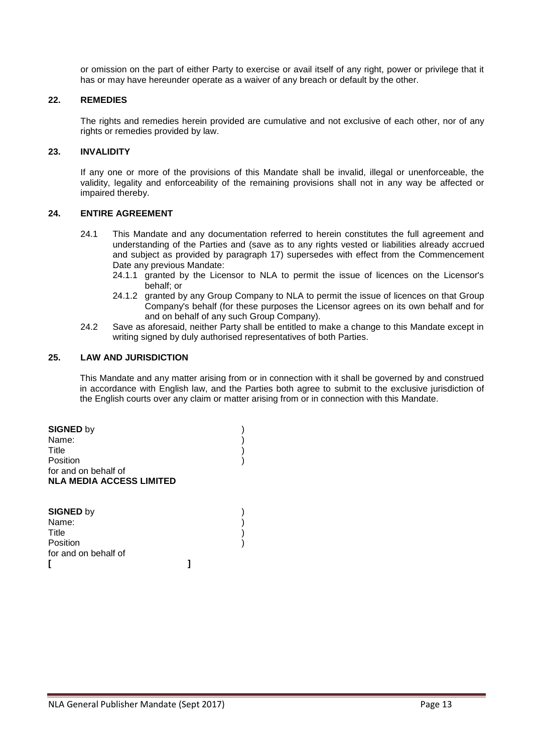or omission on the part of either Party to exercise or avail itself of any right, power or privilege that it has or may have hereunder operate as a waiver of any breach or default by the other.

#### **22. REMEDIES**

The rights and remedies herein provided are cumulative and not exclusive of each other, nor of any rights or remedies provided by law.

# **23. INVALIDITY**

If any one or more of the provisions of this Mandate shall be invalid, illegal or unenforceable, the validity, legality and enforceability of the remaining provisions shall not in any way be affected or impaired thereby.

#### **24. ENTIRE AGREEMENT**

- 24.1 This Mandate and any documentation referred to herein constitutes the full agreement and understanding of the Parties and (save as to any rights vested or liabilities already accrued and subject as provided by paragraph 17) supersedes with effect from the Commencement Date any previous Mandate:
	- 24.1.1 granted by the Licensor to NLA to permit the issue of licences on the Licensor's behalf; or
	- 24.1.2 granted by any Group Company to NLA to permit the issue of licences on that Group Company's behalf (for these purposes the Licensor agrees on its own behalf and for and on behalf of any such Group Company).
- 24.2 Save as aforesaid, neither Party shall be entitled to make a change to this Mandate except in writing signed by duly authorised representatives of both Parties.

### **25. LAW AND JURISDICTION**

This Mandate and any matter arising from or in connection with it shall be governed by and construed in accordance with English law, and the Parties both agree to submit to the exclusive jurisdiction of the English courts over any claim or matter arising from or in connection with this Mandate.

**SIGNED** by ) Name: ) Title ) **Position** for and on behalf of **NLA MEDIA ACCESS LIMITED**

| <b>SIGNED by</b>     |  |
|----------------------|--|
| Name:                |  |
| Title                |  |
| Position             |  |
| for and on behalf of |  |
|                      |  |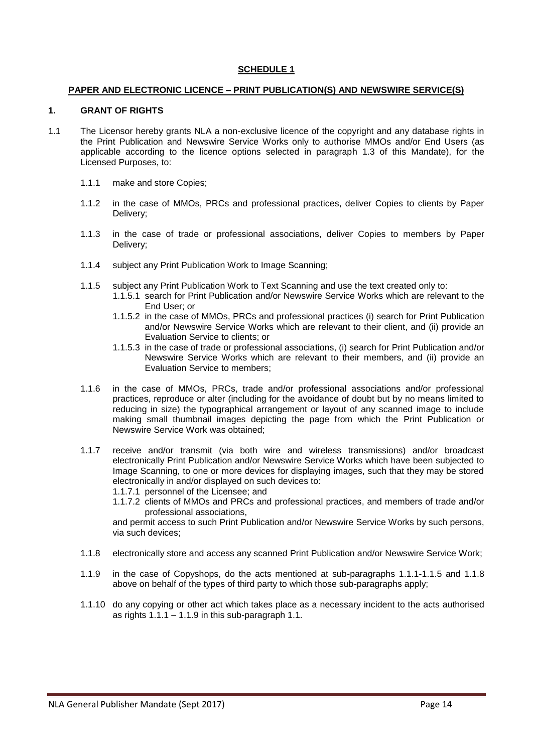### **PAPER AND ELECTRONIC LICENCE – PRINT PUBLICATION(S) AND NEWSWIRE SERVICE(S)**

#### **1. GRANT OF RIGHTS**

- 1.1 The Licensor hereby grants NLA a non-exclusive licence of the copyright and any database rights in the Print Publication and Newswire Service Works only to authorise MMOs and/or End Users (as applicable according to the licence options selected in paragraph 1.3 of this Mandate), for the Licensed Purposes, to:
	- 1.1.1 make and store Copies;
	- 1.1.2 in the case of MMOs, PRCs and professional practices, deliver Copies to clients by Paper Delivery;
	- 1.1.3 in the case of trade or professional associations, deliver Copies to members by Paper Delivery;
	- 1.1.4 subject any Print Publication Work to Image Scanning;
	- 1.1.5 subject any Print Publication Work to Text Scanning and use the text created only to:
		- 1.1.5.1 search for Print Publication and/or Newswire Service Works which are relevant to the End User; or
		- 1.1.5.2 in the case of MMOs, PRCs and professional practices (i) search for Print Publication and/or Newswire Service Works which are relevant to their client, and (ii) provide an Evaluation Service to clients; or
		- 1.1.5.3 in the case of trade or professional associations, (i) search for Print Publication and/or Newswire Service Works which are relevant to their members, and (ii) provide an Evaluation Service to members;
	- 1.1.6 in the case of MMOs, PRCs, trade and/or professional associations and/or professional practices, reproduce or alter (including for the avoidance of doubt but by no means limited to reducing in size) the typographical arrangement or layout of any scanned image to include making small thumbnail images depicting the page from which the Print Publication or Newswire Service Work was obtained;
	- 1.1.7 receive and/or transmit (via both wire and wireless transmissions) and/or broadcast electronically Print Publication and/or Newswire Service Works which have been subjected to Image Scanning, to one or more devices for displaying images, such that they may be stored electronically in and/or displayed on such devices to:
		- 1.1.7.1 personnel of the Licensee; and
		- 1.1.7.2 clients of MMOs and PRCs and professional practices, and members of trade and/or professional associations,

and permit access to such Print Publication and/or Newswire Service Works by such persons, via such devices;

- 1.1.8 electronically store and access any scanned Print Publication and/or Newswire Service Work;
- 1.1.9 in the case of Copyshops, do the acts mentioned at sub-paragraphs 1.1.1-1.1.5 and 1.1.8 above on behalf of the types of third party to which those sub-paragraphs apply;
- 1.1.10 do any copying or other act which takes place as a necessary incident to the acts authorised as rights  $1.1.1 - 1.1.9$  in this sub-paragraph 1.1.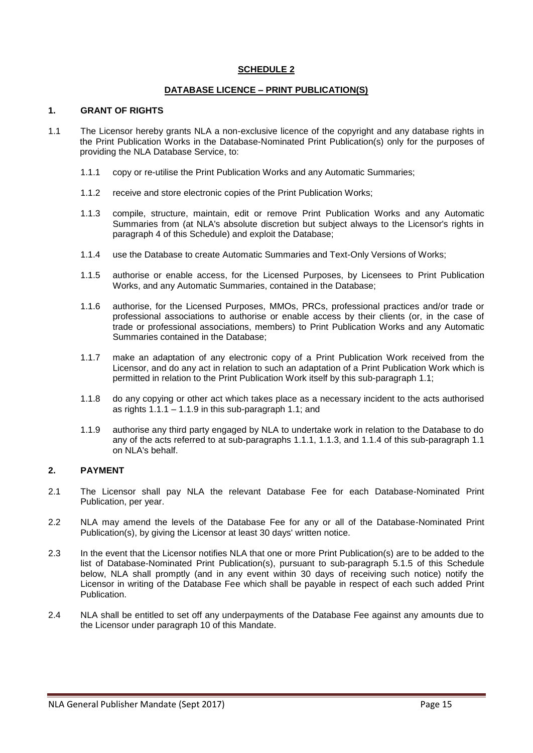### **DATABASE LICENCE – PRINT PUBLICATION(S)**

#### **1. GRANT OF RIGHTS**

- 1.1 The Licensor hereby grants NLA a non-exclusive licence of the copyright and any database rights in the Print Publication Works in the Database-Nominated Print Publication(s) only for the purposes of providing the NLA Database Service, to:
	- 1.1.1 copy or re-utilise the Print Publication Works and any Automatic Summaries;
	- 1.1.2 receive and store electronic copies of the Print Publication Works;
	- 1.1.3 compile, structure, maintain, edit or remove Print Publication Works and any Automatic Summaries from (at NLA's absolute discretion but subject always to the Licensor's rights in paragraph 4 of this Schedule) and exploit the Database;
	- 1.1.4 use the Database to create Automatic Summaries and Text-Only Versions of Works;
	- 1.1.5 authorise or enable access, for the Licensed Purposes, by Licensees to Print Publication Works, and any Automatic Summaries, contained in the Database;
	- 1.1.6 authorise, for the Licensed Purposes, MMOs, PRCs, professional practices and/or trade or professional associations to authorise or enable access by their clients (or, in the case of trade or professional associations, members) to Print Publication Works and any Automatic Summaries contained in the Database;
	- 1.1.7 make an adaptation of any electronic copy of a Print Publication Work received from the Licensor, and do any act in relation to such an adaptation of a Print Publication Work which is permitted in relation to the Print Publication Work itself by this sub-paragraph 1.1;
	- 1.1.8 do any copying or other act which takes place as a necessary incident to the acts authorised as rights  $1.1.1 - 1.1.9$  in this sub-paragraph  $1.1$ ; and
	- 1.1.9 authorise any third party engaged by NLA to undertake work in relation to the Database to do any of the acts referred to at sub-paragraphs 1.1.1, 1.1.3, and 1.1.4 of this sub-paragraph 1.1 on NLA's behalf.

## **2. PAYMENT**

- 2.1 The Licensor shall pay NLA the relevant Database Fee for each Database-Nominated Print Publication, per year.
- 2.2 NLA may amend the levels of the Database Fee for any or all of the Database-Nominated Print Publication(s), by giving the Licensor at least 30 days' written notice.
- 2.3 In the event that the Licensor notifies NLA that one or more Print Publication(s) are to be added to the list of Database-Nominated Print Publication(s), pursuant to sub-paragraph 5.1.5 of this Schedule below, NLA shall promptly (and in any event within 30 days of receiving such notice) notify the Licensor in writing of the Database Fee which shall be payable in respect of each such added Print Publication.
- 2.4 NLA shall be entitled to set off any underpayments of the Database Fee against any amounts due to the Licensor under paragraph 10 of this Mandate.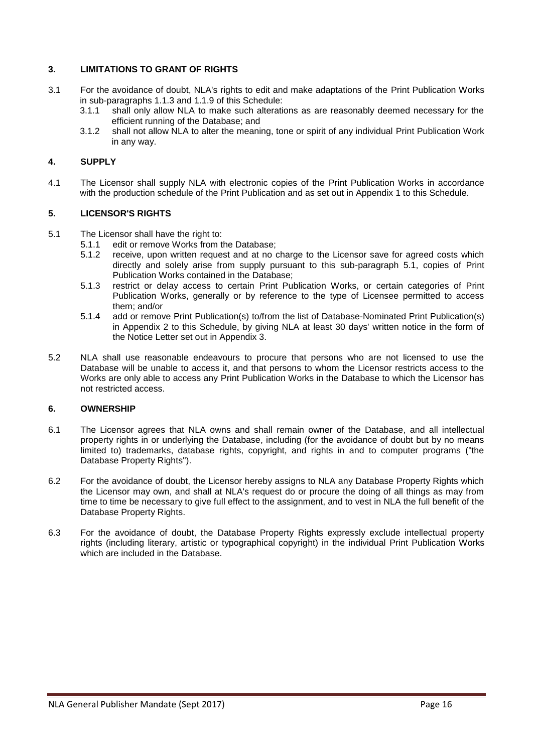# **3. LIMITATIONS TO GRANT OF RIGHTS**

- 3.1 For the avoidance of doubt, NLA's rights to edit and make adaptations of the Print Publication Works in sub-paragraphs 1.1.3 and 1.1.9 of this Schedule:
	- 3.1.1 shall only allow NLA to make such alterations as are reasonably deemed necessary for the efficient running of the Database; and
	- 3.1.2 shall not allow NLA to alter the meaning, tone or spirit of any individual Print Publication Work in any way.

## **4. SUPPLY**

4.1 The Licensor shall supply NLA with electronic copies of the Print Publication Works in accordance with the production schedule of the Print Publication and as set out in Appendix 1 to this Schedule.

## **5. LICENSOR'S RIGHTS**

- 5.1 The Licensor shall have the right to:
	- 5.1.1 edit or remove Works from the Database;
		- 5.1.2 receive, upon written request and at no charge to the Licensor save for agreed costs which directly and solely arise from supply pursuant to this sub-paragraph 5.1, copies of Print Publication Works contained in the Database;
		- 5.1.3 restrict or delay access to certain Print Publication Works, or certain categories of Print Publication Works, generally or by reference to the type of Licensee permitted to access them; and/or
		- 5.1.4 add or remove Print Publication(s) to/from the list of Database-Nominated Print Publication(s) in Appendix 2 to this Schedule, by giving NLA at least 30 days' written notice in the form of the Notice Letter set out in Appendix 3.
- 5.2 NLA shall use reasonable endeavours to procure that persons who are not licensed to use the Database will be unable to access it, and that persons to whom the Licensor restricts access to the Works are only able to access any Print Publication Works in the Database to which the Licensor has not restricted access.

#### **6. OWNERSHIP**

- 6.1 The Licensor agrees that NLA owns and shall remain owner of the Database, and all intellectual property rights in or underlying the Database, including (for the avoidance of doubt but by no means limited to) trademarks, database rights, copyright, and rights in and to computer programs ("the Database Property Rights").
- 6.2 For the avoidance of doubt, the Licensor hereby assigns to NLA any Database Property Rights which the Licensor may own, and shall at NLA's request do or procure the doing of all things as may from time to time be necessary to give full effect to the assignment, and to vest in NLA the full benefit of the Database Property Rights.
- 6.3 For the avoidance of doubt, the Database Property Rights expressly exclude intellectual property rights (including literary, artistic or typographical copyright) in the individual Print Publication Works which are included in the Database.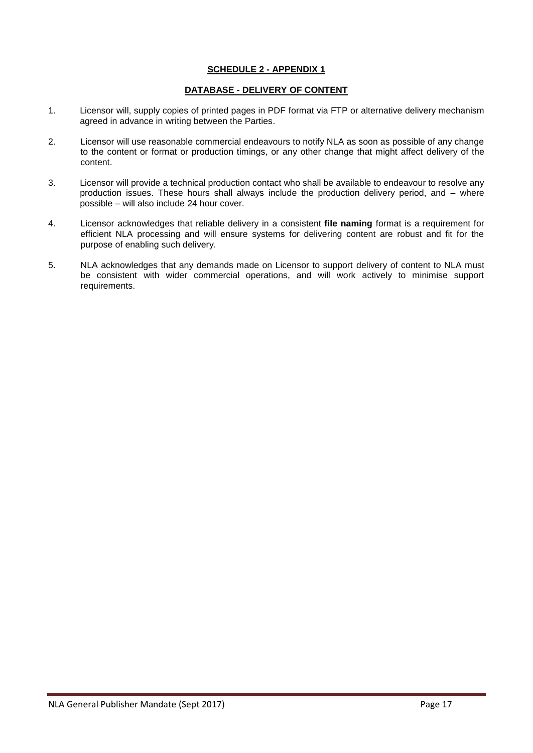# **SCHEDULE 2 - APPENDIX 1**

## **DATABASE - DELIVERY OF CONTENT**

- 1. Licensor will, supply copies of printed pages in PDF format via FTP or alternative delivery mechanism agreed in advance in writing between the Parties.
- 2. Licensor will use reasonable commercial endeavours to notify NLA as soon as possible of any change to the content or format or production timings, or any other change that might affect delivery of the content.
- 3. Licensor will provide a technical production contact who shall be available to endeavour to resolve any production issues. These hours shall always include the production delivery period, and – where possible – will also include 24 hour cover.
- 4. Licensor acknowledges that reliable delivery in a consistent **file naming** format is a requirement for efficient NLA processing and will ensure systems for delivering content are robust and fit for the purpose of enabling such delivery.
- 5. NLA acknowledges that any demands made on Licensor to support delivery of content to NLA must be consistent with wider commercial operations, and will work actively to minimise support requirements.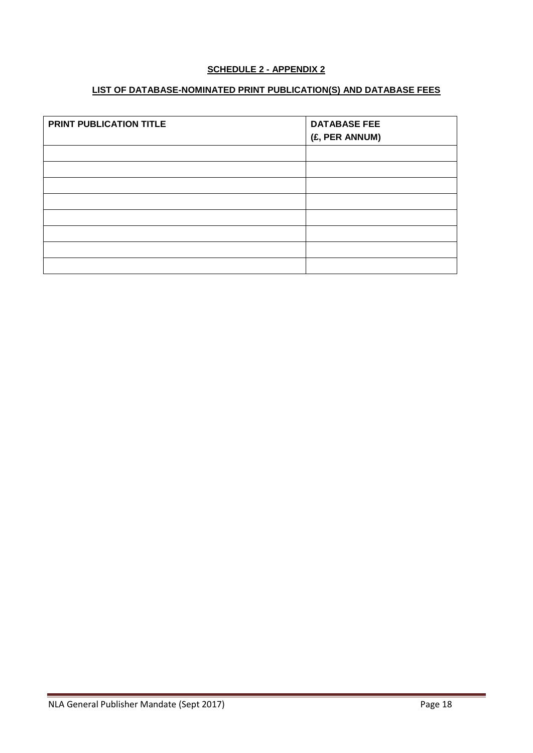# **SCHEDULE 2 - APPENDIX 2**

# **LIST OF DATABASE-NOMINATED PRINT PUBLICATION(S) AND DATABASE FEES**

| PRINT PUBLICATION TITLE | <b>DATABASE FEE</b><br>(£, PER ANNUM) |
|-------------------------|---------------------------------------|
|                         |                                       |
|                         |                                       |
|                         |                                       |
|                         |                                       |
|                         |                                       |
|                         |                                       |
|                         |                                       |
|                         |                                       |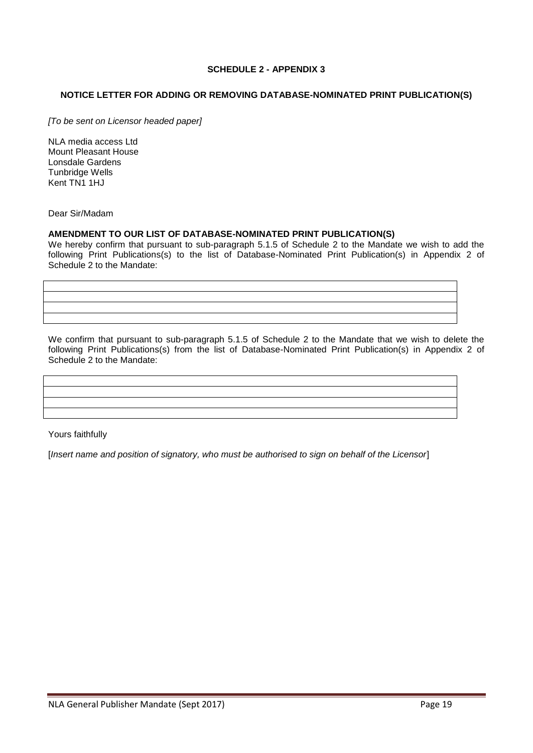# **SCHEDULE 2 - APPENDIX 3**

## **NOTICE LETTER FOR ADDING OR REMOVING DATABASE-NOMINATED PRINT PUBLICATION(S)**

*[To be sent on Licensor headed paper]*

NLA media access Ltd Mount Pleasant House Lonsdale Gardens Tunbridge Wells Kent TN1 1HJ

Dear Sir/Madam

#### **AMENDMENT TO OUR LIST OF DATABASE-NOMINATED PRINT PUBLICATION(S)**

We hereby confirm that pursuant to sub-paragraph 5.1.5 of Schedule 2 to the Mandate we wish to add the following Print Publications(s) to the list of Database-Nominated Print Publication(s) in Appendix 2 of Schedule 2 to the Mandate:

We confirm that pursuant to sub-paragraph 5.1.5 of Schedule 2 to the Mandate that we wish to delete the following Print Publications(s) from the list of Database-Nominated Print Publication(s) in Appendix 2 of Schedule 2 to the Mandate:

Yours faithfully

[*Insert name and position of signatory, who must be authorised to sign on behalf of the Licensor*]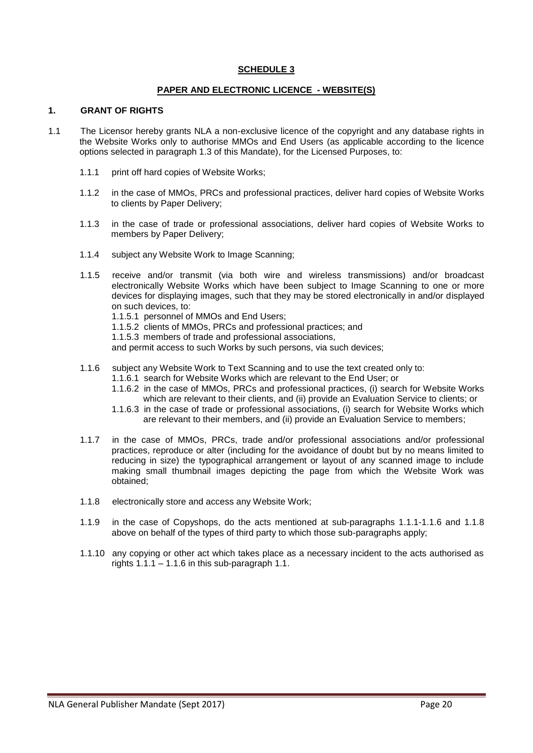### **PAPER AND ELECTRONIC LICENCE - WEBSITE(S)**

#### **1. GRANT OF RIGHTS**

- 1.1 The Licensor hereby grants NLA a non-exclusive licence of the copyright and any database rights in the Website Works only to authorise MMOs and End Users (as applicable according to the licence options selected in paragraph 1.3 of this Mandate), for the Licensed Purposes, to:
	- 1.1.1 print off hard copies of Website Works;
	- 1.1.2 in the case of MMOs, PRCs and professional practices, deliver hard copies of Website Works to clients by Paper Delivery;
	- 1.1.3 in the case of trade or professional associations, deliver hard copies of Website Works to members by Paper Delivery;
	- 1.1.4 subject any Website Work to Image Scanning;
	- 1.1.5 receive and/or transmit (via both wire and wireless transmissions) and/or broadcast electronically Website Works which have been subject to Image Scanning to one or more devices for displaying images, such that they may be stored electronically in and/or displayed on such devices, to:
		- 1.1.5.1 personnel of MMOs and End Users;
		- 1.1.5.2 clients of MMOs, PRCs and professional practices; and
		- 1.1.5.3 members of trade and professional associations,

and permit access to such Works by such persons, via such devices;

- 1.1.6 subject any Website Work to Text Scanning and to use the text created only to:
	- 1.1.6.1 search for Website Works which are relevant to the End User; or
	- 1.1.6.2 in the case of MMOs, PRCs and professional practices, (i) search for Website Works which are relevant to their clients, and (ii) provide an Evaluation Service to clients; or
	- 1.1.6.3 in the case of trade or professional associations, (i) search for Website Works which are relevant to their members, and (ii) provide an Evaluation Service to members;
- 1.1.7 in the case of MMOs, PRCs, trade and/or professional associations and/or professional practices, reproduce or alter (including for the avoidance of doubt but by no means limited to reducing in size) the typographical arrangement or layout of any scanned image to include making small thumbnail images depicting the page from which the Website Work was obtained;
- 1.1.8 electronically store and access any Website Work;
- 1.1.9 in the case of Copyshops, do the acts mentioned at sub-paragraphs 1.1.1-1.1.6 and 1.1.8 above on behalf of the types of third party to which those sub-paragraphs apply;
- 1.1.10 any copying or other act which takes place as a necessary incident to the acts authorised as rights  $1.1.1 - 1.1.6$  in this sub-paragraph 1.1.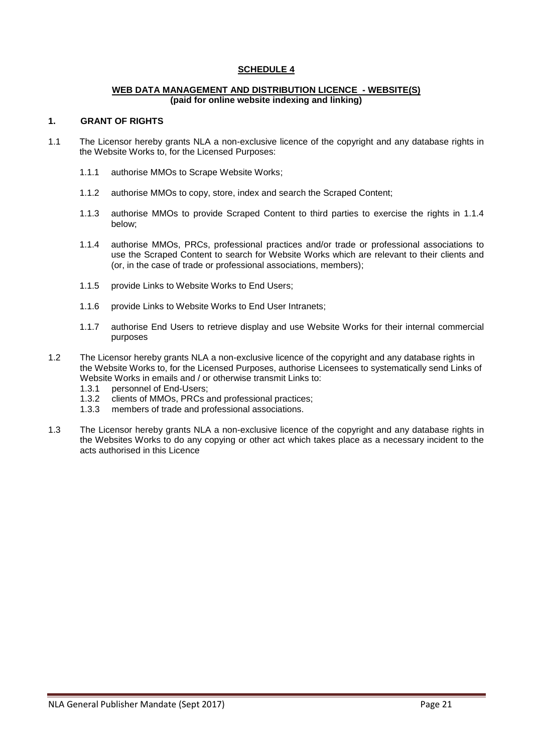#### **WEB DATA MANAGEMENT AND DISTRIBUTION LICENCE - WEBSITE(S) (paid for online website indexing and linking)**

#### **1. GRANT OF RIGHTS**

- 1.1 The Licensor hereby grants NLA a non-exclusive licence of the copyright and any database rights in the Website Works to, for the Licensed Purposes:
	- 1.1.1 authorise MMOs to Scrape Website Works;
	- 1.1.2 authorise MMOs to copy, store, index and search the Scraped Content;
	- 1.1.3 authorise MMOs to provide Scraped Content to third parties to exercise the rights in 1.1.4 below;
	- 1.1.4 authorise MMOs, PRCs, professional practices and/or trade or professional associations to use the Scraped Content to search for Website Works which are relevant to their clients and (or, in the case of trade or professional associations, members);
	- 1.1.5 provide Links to Website Works to End Users;
	- 1.1.6 provide Links to Website Works to End User Intranets;
	- 1.1.7 authorise End Users to retrieve display and use Website Works for their internal commercial purposes
- 1.2 The Licensor hereby grants NLA a non-exclusive licence of the copyright and any database rights in the Website Works to, for the Licensed Purposes, authorise Licensees to systematically send Links of Website Works in emails and / or otherwise transmit Links to:
	- 1.3.1 personnel of End-Users;
	- 1.3.2 clients of MMOs, PRCs and professional practices;
	- 1.3.3 members of trade and professional associations.
- 1.3 The Licensor hereby grants NLA a non-exclusive licence of the copyright and any database rights in the Websites Works to do any copying or other act which takes place as a necessary incident to the acts authorised in this Licence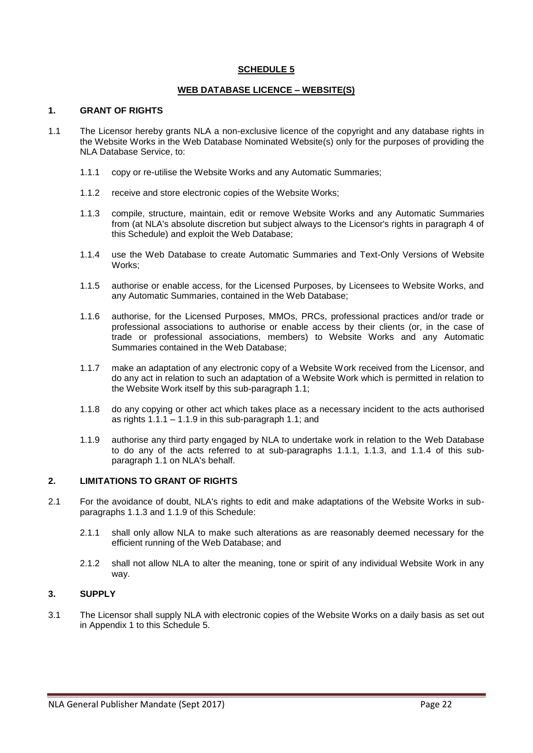## **WEB DATABASE LICENCE – WEBSITE(S)**

#### **1. GRANT OF RIGHTS**

- 1.1 The Licensor hereby grants NLA a non-exclusive licence of the copyright and any database rights in the Website Works in the Web Database Nominated Website(s) only for the purposes of providing the NLA Database Service, to:
	- 1.1.1 copy or re-utilise the Website Works and any Automatic Summaries;
	- 1.1.2 receive and store electronic copies of the Website Works;
	- 1.1.3 compile, structure, maintain, edit or remove Website Works and any Automatic Summaries from (at NLA's absolute discretion but subject always to the Licensor's rights in paragraph 4 of this Schedule) and exploit the Web Database;
	- 1.1.4 use the Web Database to create Automatic Summaries and Text-Only Versions of Website Works;
	- 1.1.5 authorise or enable access, for the Licensed Purposes, by Licensees to Website Works, and any Automatic Summaries, contained in the Web Database;
	- 1.1.6 authorise, for the Licensed Purposes, MMOs, PRCs, professional practices and/or trade or professional associations to authorise or enable access by their clients (or, in the case of trade or professional associations, members) to Website Works and any Automatic Summaries contained in the Web Database;
	- 1.1.7 make an adaptation of any electronic copy of a Website Work received from the Licensor, and do any act in relation to such an adaptation of a Website Work which is permitted in relation to the Website Work itself by this sub-paragraph 1.1;
	- 1.1.8 do any copying or other act which takes place as a necessary incident to the acts authorised as rights  $1.1.1 - 1.1.9$  in this sub-paragraph  $1.1$ ; and
	- 1.1.9 authorise any third party engaged by NLA to undertake work in relation to the Web Database to do any of the acts referred to at sub-paragraphs 1.1.1, 1.1.3, and 1.1.4 of this subparagraph 1.1 on NLA's behalf.

# **2. LIMITATIONS TO GRANT OF RIGHTS**

- 2.1 For the avoidance of doubt, NLA's rights to edit and make adaptations of the Website Works in subparagraphs 1.1.3 and 1.1.9 of this Schedule:
	- 2.1.1 shall only allow NLA to make such alterations as are reasonably deemed necessary for the efficient running of the Web Database; and
	- 2.1.2 shall not allow NLA to alter the meaning, tone or spirit of any individual Website Work in any way.

# **3. SUPPLY**

3.1 The Licensor shall supply NLA with electronic copies of the Website Works on a daily basis as set out in Appendix 1 to this Schedule 5.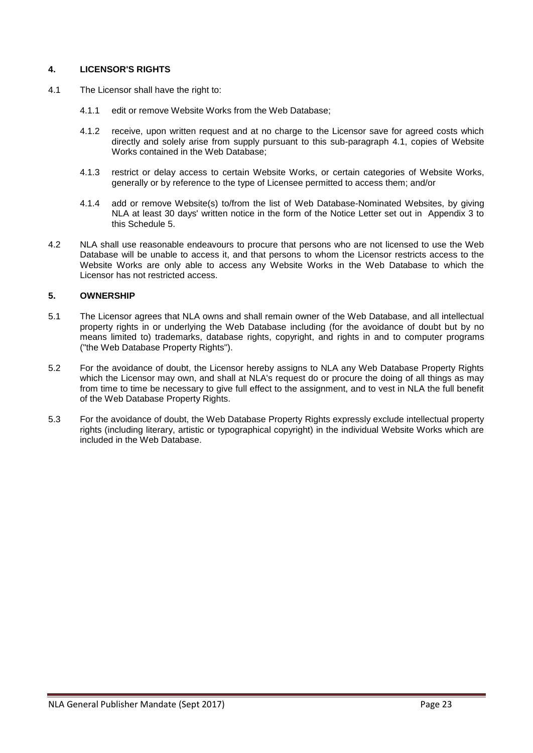# **4. LICENSOR'S RIGHTS**

- 4.1 The Licensor shall have the right to:
	- 4.1.1 edit or remove Website Works from the Web Database;
	- 4.1.2 receive, upon written request and at no charge to the Licensor save for agreed costs which directly and solely arise from supply pursuant to this sub-paragraph 4.1, copies of Website Works contained in the Web Database;
	- 4.1.3 restrict or delay access to certain Website Works, or certain categories of Website Works, generally or by reference to the type of Licensee permitted to access them; and/or
	- 4.1.4 add or remove Website(s) to/from the list of Web Database-Nominated Websites, by giving NLA at least 30 days' written notice in the form of the Notice Letter set out in Appendix 3 to this Schedule 5.
- 4.2 NLA shall use reasonable endeavours to procure that persons who are not licensed to use the Web Database will be unable to access it, and that persons to whom the Licensor restricts access to the Website Works are only able to access any Website Works in the Web Database to which the Licensor has not restricted access.

# **5. OWNERSHIP**

- 5.1 The Licensor agrees that NLA owns and shall remain owner of the Web Database, and all intellectual property rights in or underlying the Web Database including (for the avoidance of doubt but by no means limited to) trademarks, database rights, copyright, and rights in and to computer programs ("the Web Database Property Rights").
- 5.2 For the avoidance of doubt, the Licensor hereby assigns to NLA any Web Database Property Rights which the Licensor may own, and shall at NLA's request do or procure the doing of all things as may from time to time be necessary to give full effect to the assignment, and to vest in NLA the full benefit of the Web Database Property Rights.
- 5.3 For the avoidance of doubt, the Web Database Property Rights expressly exclude intellectual property rights (including literary, artistic or typographical copyright) in the individual Website Works which are included in the Web Database.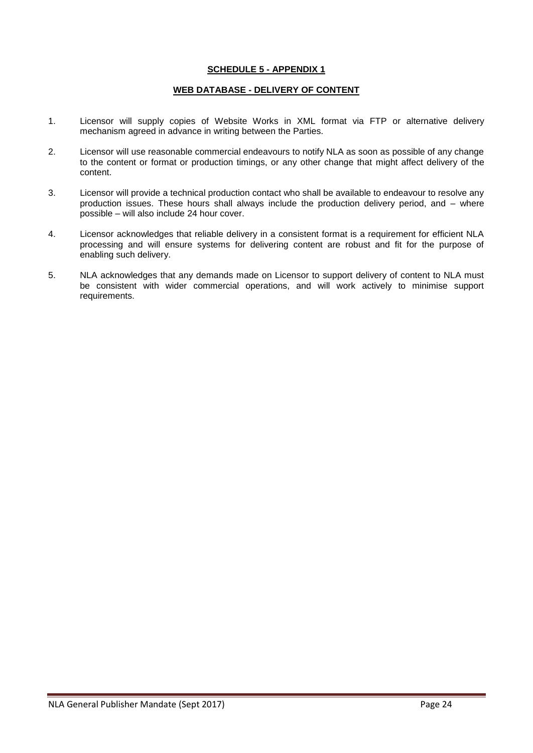## **SCHEDULE 5 - APPENDIX 1**

## **WEB DATABASE - DELIVERY OF CONTENT**

- 1. Licensor will supply copies of Website Works in XML format via FTP or alternative delivery mechanism agreed in advance in writing between the Parties.
- 2. Licensor will use reasonable commercial endeavours to notify NLA as soon as possible of any change to the content or format or production timings, or any other change that might affect delivery of the content.
- 3. Licensor will provide a technical production contact who shall be available to endeavour to resolve any production issues. These hours shall always include the production delivery period, and – where possible – will also include 24 hour cover.
- 4. Licensor acknowledges that reliable delivery in a consistent format is a requirement for efficient NLA processing and will ensure systems for delivering content are robust and fit for the purpose of enabling such delivery.
- 5. NLA acknowledges that any demands made on Licensor to support delivery of content to NLA must be consistent with wider commercial operations, and will work actively to minimise support requirements.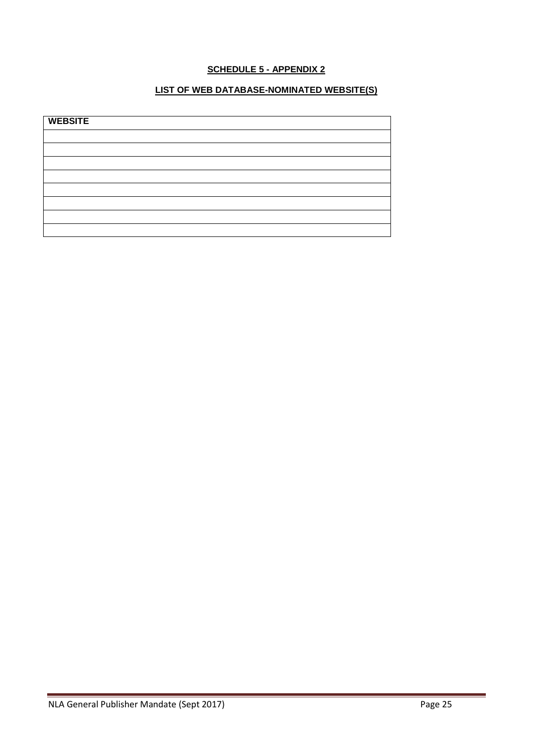# **SCHEDULE 5 - APPENDIX 2**

# **LIST OF WEB DATABASE-NOMINATED WEBSITE(S)**

| <b>WEBSITE</b> |  |  |  |
|----------------|--|--|--|
|                |  |  |  |
|                |  |  |  |
|                |  |  |  |
|                |  |  |  |
|                |  |  |  |
|                |  |  |  |
|                |  |  |  |
|                |  |  |  |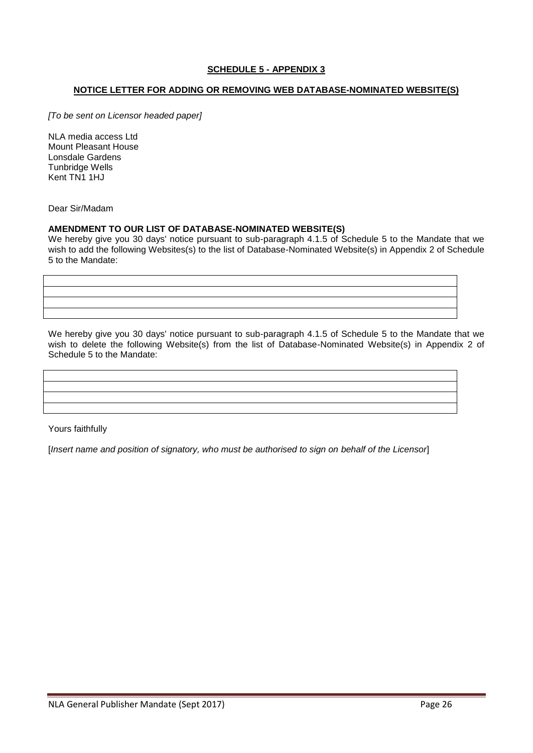# **SCHEDULE 5 - APPENDIX 3**

### **NOTICE LETTER FOR ADDING OR REMOVING WEB DATABASE-NOMINATED WEBSITE(S)**

*[To be sent on Licensor headed paper]*

NLA media access Ltd Mount Pleasant House Lonsdale Gardens Tunbridge Wells Kent TN1 1HJ

Dear Sir/Madam

#### **AMENDMENT TO OUR LIST OF DATABASE-NOMINATED WEBSITE(S)**

We hereby give you 30 days' notice pursuant to sub-paragraph 4.1.5 of Schedule 5 to the Mandate that we wish to add the following Websites(s) to the list of Database-Nominated Website(s) in Appendix 2 of Schedule 5 to the Mandate:

We hereby give you 30 days' notice pursuant to sub-paragraph 4.1.5 of Schedule 5 to the Mandate that we wish to delete the following Website(s) from the list of Database-Nominated Website(s) in Appendix 2 of Schedule 5 to the Mandate:

Yours faithfully

[*Insert name and position of signatory, who must be authorised to sign on behalf of the Licensor*]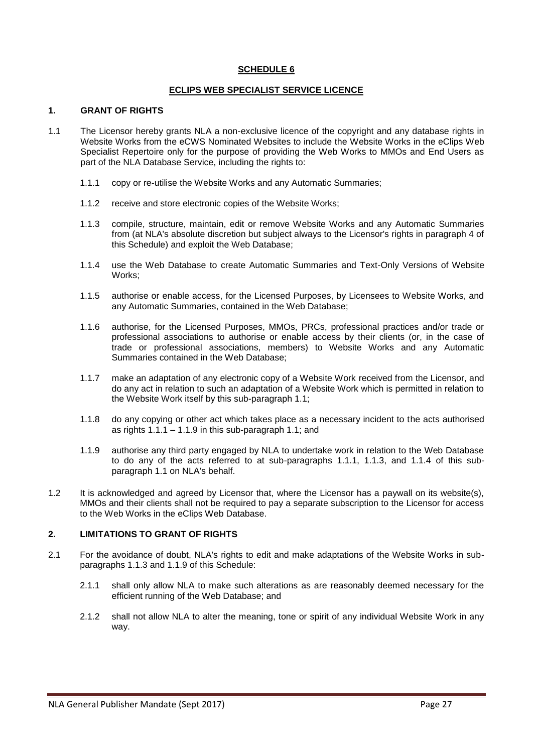### **ECLIPS WEB SPECIALIST SERVICE LICENCE**

#### **1. GRANT OF RIGHTS**

- 1.1 The Licensor hereby grants NLA a non-exclusive licence of the copyright and any database rights in Website Works from the eCWS Nominated Websites to include the Website Works in the eClips Web Specialist Repertoire only for the purpose of providing the Web Works to MMOs and End Users as part of the NLA Database Service, including the rights to:
	- 1.1.1 copy or re-utilise the Website Works and any Automatic Summaries;
	- 1.1.2 receive and store electronic copies of the Website Works;
	- 1.1.3 compile, structure, maintain, edit or remove Website Works and any Automatic Summaries from (at NLA's absolute discretion but subject always to the Licensor's rights in paragraph 4 of this Schedule) and exploit the Web Database;
	- 1.1.4 use the Web Database to create Automatic Summaries and Text-Only Versions of Website Works;
	- 1.1.5 authorise or enable access, for the Licensed Purposes, by Licensees to Website Works, and any Automatic Summaries, contained in the Web Database;
	- 1.1.6 authorise, for the Licensed Purposes, MMOs, PRCs, professional practices and/or trade or professional associations to authorise or enable access by their clients (or, in the case of trade or professional associations, members) to Website Works and any Automatic Summaries contained in the Web Database;
	- 1.1.7 make an adaptation of any electronic copy of a Website Work received from the Licensor, and do any act in relation to such an adaptation of a Website Work which is permitted in relation to the Website Work itself by this sub-paragraph 1.1;
	- 1.1.8 do any copying or other act which takes place as a necessary incident to the acts authorised as rights  $1.1.1 - 1.1.9$  in this sub-paragraph 1.1; and
	- 1.1.9 authorise any third party engaged by NLA to undertake work in relation to the Web Database to do any of the acts referred to at sub-paragraphs 1.1.1, 1.1.3, and 1.1.4 of this subparagraph 1.1 on NLA's behalf.
- 1.2 It is acknowledged and agreed by Licensor that, where the Licensor has a paywall on its website(s), MMOs and their clients shall not be required to pay a separate subscription to the Licensor for access to the Web Works in the eClips Web Database.

## **2. LIMITATIONS TO GRANT OF RIGHTS**

- 2.1 For the avoidance of doubt, NLA's rights to edit and make adaptations of the Website Works in subparagraphs 1.1.3 and 1.1.9 of this Schedule:
	- 2.1.1 shall only allow NLA to make such alterations as are reasonably deemed necessary for the efficient running of the Web Database; and
	- 2.1.2 shall not allow NLA to alter the meaning, tone or spirit of any individual Website Work in any way.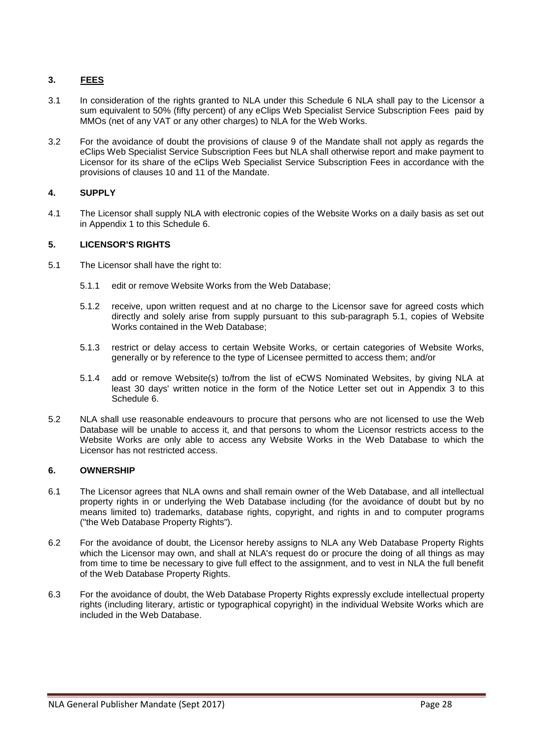# **3. FEES**

- 3.1 In consideration of the rights granted to NLA under this Schedule 6 NLA shall pay to the Licensor a sum equivalent to 50% (fifty percent) of any eClips Web Specialist Service Subscription Fees paid by MMOs (net of any VAT or any other charges) to NLA for the Web Works.
- 3.2 For the avoidance of doubt the provisions of clause 9 of the Mandate shall not apply as regards the eClips Web Specialist Service Subscription Fees but NLA shall otherwise report and make payment to Licensor for its share of the eClips Web Specialist Service Subscription Fees in accordance with the provisions of clauses 10 and 11 of the Mandate.

# **4. SUPPLY**

4.1 The Licensor shall supply NLA with electronic copies of the Website Works on a daily basis as set out in Appendix 1 to this Schedule 6.

# **5. LICENSOR'S RIGHTS**

- 5.1 The Licensor shall have the right to:
	- 5.1.1 edit or remove Website Works from the Web Database;
	- 5.1.2 receive, upon written request and at no charge to the Licensor save for agreed costs which directly and solely arise from supply pursuant to this sub-paragraph 5.1, copies of Website Works contained in the Web Database;
	- 5.1.3 restrict or delay access to certain Website Works, or certain categories of Website Works, generally or by reference to the type of Licensee permitted to access them; and/or
	- 5.1.4 add or remove Website(s) to/from the list of eCWS Nominated Websites, by giving NLA at least 30 days' written notice in the form of the Notice Letter set out in Appendix 3 to this Schedule 6.
- 5.2 NLA shall use reasonable endeavours to procure that persons who are not licensed to use the Web Database will be unable to access it, and that persons to whom the Licensor restricts access to the Website Works are only able to access any Website Works in the Web Database to which the Licensor has not restricted access.

## **6. OWNERSHIP**

- 6.1 The Licensor agrees that NLA owns and shall remain owner of the Web Database, and all intellectual property rights in or underlying the Web Database including (for the avoidance of doubt but by no means limited to) trademarks, database rights, copyright, and rights in and to computer programs ("the Web Database Property Rights").
- 6.2 For the avoidance of doubt, the Licensor hereby assigns to NLA any Web Database Property Rights which the Licensor may own, and shall at NLA's request do or procure the doing of all things as may from time to time be necessary to give full effect to the assignment, and to vest in NLA the full benefit of the Web Database Property Rights.
- 6.3 For the avoidance of doubt, the Web Database Property Rights expressly exclude intellectual property rights (including literary, artistic or typographical copyright) in the individual Website Works which are included in the Web Database.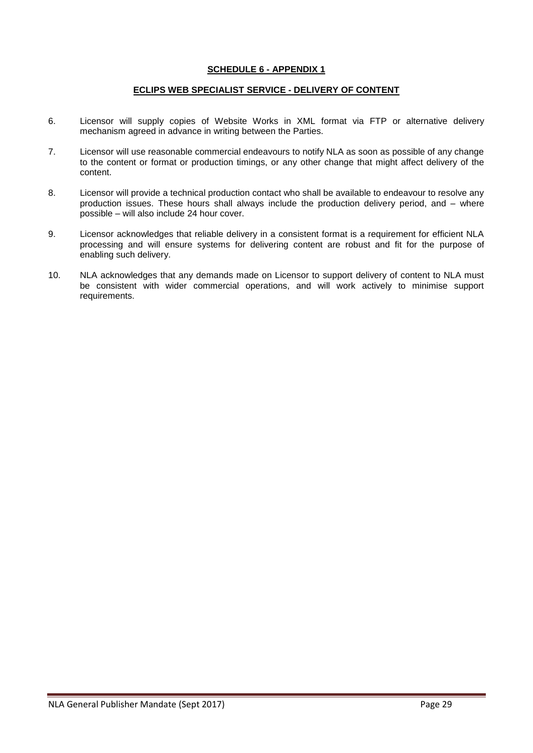## **SCHEDULE 6 - APPENDIX 1**

### **ECLIPS WEB SPECIALIST SERVICE - DELIVERY OF CONTENT**

- 6. Licensor will supply copies of Website Works in XML format via FTP or alternative delivery mechanism agreed in advance in writing between the Parties.
- 7. Licensor will use reasonable commercial endeavours to notify NLA as soon as possible of any change to the content or format or production timings, or any other change that might affect delivery of the content.
- 8. Licensor will provide a technical production contact who shall be available to endeavour to resolve any production issues. These hours shall always include the production delivery period, and – where possible – will also include 24 hour cover.
- 9. Licensor acknowledges that reliable delivery in a consistent format is a requirement for efficient NLA processing and will ensure systems for delivering content are robust and fit for the purpose of enabling such delivery.
- 10. NLA acknowledges that any demands made on Licensor to support delivery of content to NLA must be consistent with wider commercial operations, and will work actively to minimise support requirements.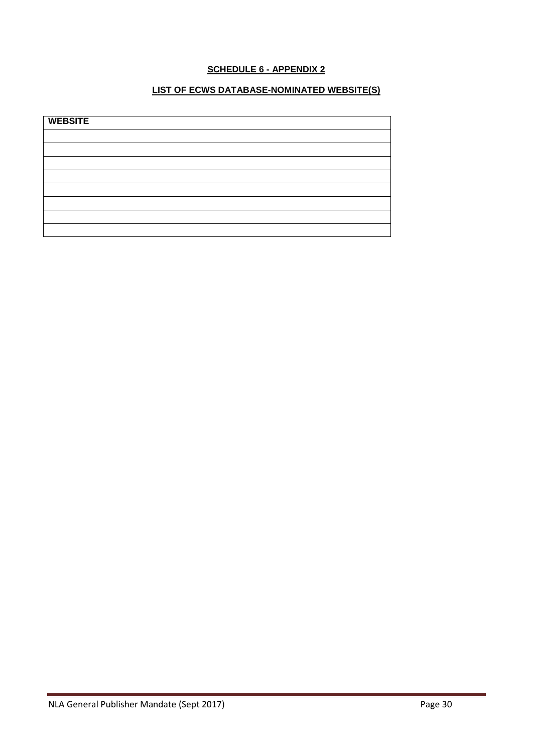# **SCHEDULE 6 - APPENDIX 2**

# **LIST OF ECWS DATABASE-NOMINATED WEBSITE(S)**

| <b>WEBSITE</b> |  |  |
|----------------|--|--|
|                |  |  |
|                |  |  |
|                |  |  |
|                |  |  |
|                |  |  |
|                |  |  |
|                |  |  |
|                |  |  |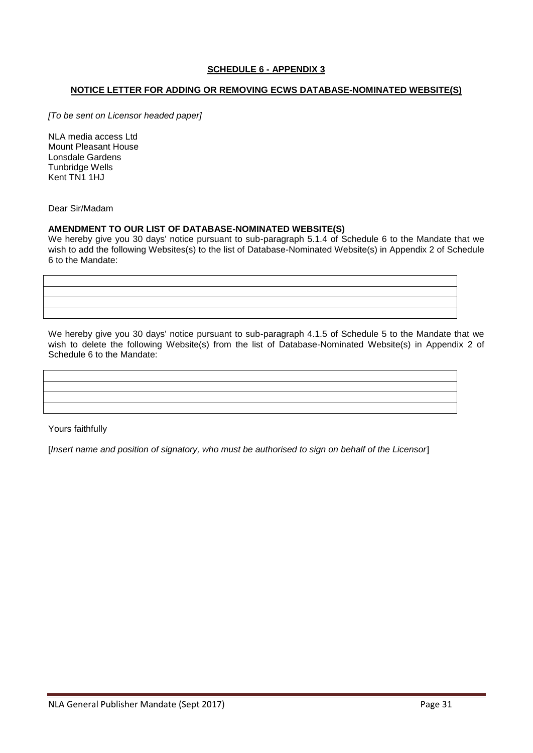# **SCHEDULE 6 - APPENDIX 3**

### **NOTICE LETTER FOR ADDING OR REMOVING ECWS DATABASE-NOMINATED WEBSITE(S)**

*[To be sent on Licensor headed paper]*

NLA media access Ltd Mount Pleasant House Lonsdale Gardens Tunbridge Wells Kent TN1 1HJ

Dear Sir/Madam

#### **AMENDMENT TO OUR LIST OF DATABASE-NOMINATED WEBSITE(S)**

We hereby give you 30 days' notice pursuant to sub-paragraph 5.1.4 of Schedule 6 to the Mandate that we wish to add the following Websites(s) to the list of Database-Nominated Website(s) in Appendix 2 of Schedule 6 to the Mandate:

We hereby give you 30 days' notice pursuant to sub-paragraph 4.1.5 of Schedule 5 to the Mandate that we wish to delete the following Website(s) from the list of Database-Nominated Website(s) in Appendix 2 of Schedule 6 to the Mandate:

Yours faithfully

[*Insert name and position of signatory, who must be authorised to sign on behalf of the Licensor*]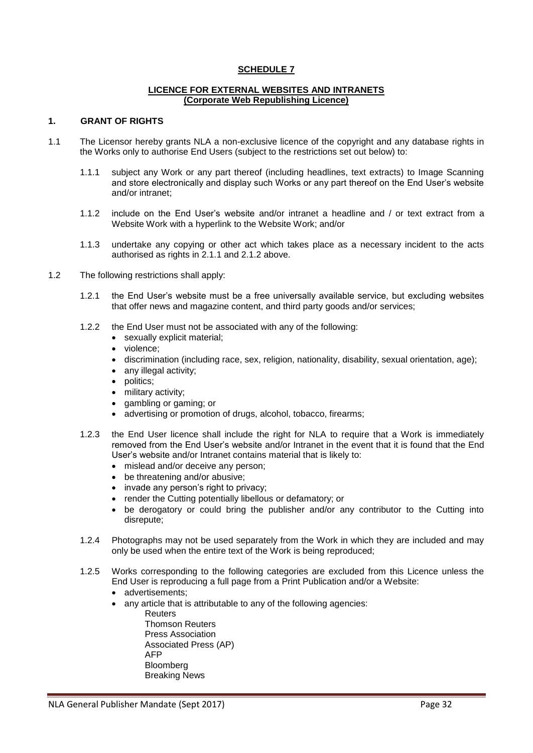#### **LICENCE FOR EXTERNAL WEBSITES AND INTRANETS (Corporate Web Republishing Licence)**

#### **1. GRANT OF RIGHTS**

- 1.1 The Licensor hereby grants NLA a non-exclusive licence of the copyright and any database rights in the Works only to authorise End Users (subject to the restrictions set out below) to:
	- 1.1.1 subject any Work or any part thereof (including headlines, text extracts) to Image Scanning and store electronically and display such Works or any part thereof on the End User's website and/or intranet;
	- 1.1.2 include on the End User's website and/or intranet a headline and / or text extract from a Website Work with a hyperlink to the Website Work; and/or
	- 1.1.3 undertake any copying or other act which takes place as a necessary incident to the acts authorised as rights in 2.1.1 and 2.1.2 above.
- 1.2 The following restrictions shall apply:
	- 1.2.1 the End User's website must be a free universally available service, but excluding websites that offer news and magazine content, and third party goods and/or services;
	- 1.2.2 the End User must not be associated with any of the following:
		- sexually explicit material;
		- violence:
		- discrimination (including race, sex, religion, nationality, disability, sexual orientation, age);
		- any illegal activity;
		- politics;
		- military activity;
		- gambling or gaming; or
		- advertising or promotion of drugs, alcohol, tobacco, firearms;
	- 1.2.3 the End User licence shall include the right for NLA to require that a Work is immediately removed from the End User's website and/or Intranet in the event that it is found that the End User's website and/or Intranet contains material that is likely to:
		- mislead and/or deceive any person;
		- be threatening and/or abusive:
		- invade any person's right to privacy;
		- render the Cutting potentially libellous or defamatory; or
		- be derogatory or could bring the publisher and/or any contributor to the Cutting into disrepute;
	- 1.2.4 Photographs may not be used separately from the Work in which they are included and may only be used when the entire text of the Work is being reproduced;
	- 1.2.5 Works corresponding to the following categories are excluded from this Licence unless the End User is reproducing a full page from a Print Publication and/or a Website:
		- advertisements;
		- any article that is attributable to any of the following agencies:
			- **Reuters** Thomson Reuters Press Association Associated Press (AP) AFP Bloomberg Breaking News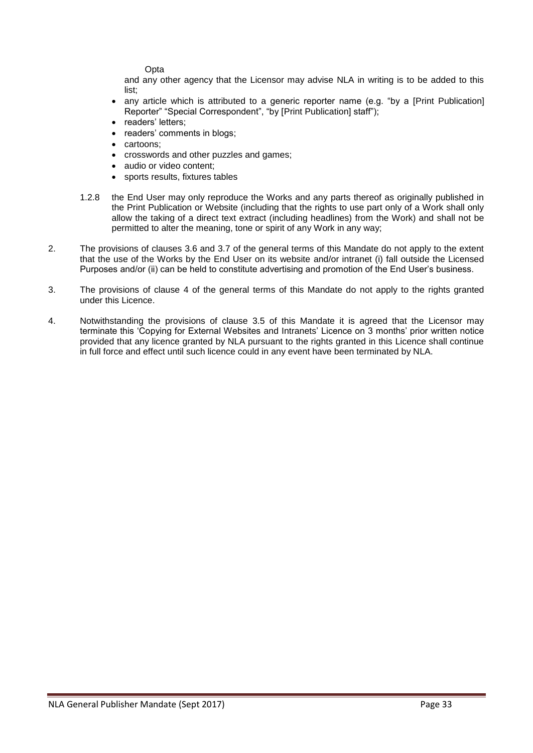**Opta** 

and any other agency that the Licensor may advise NLA in writing is to be added to this list;

- any article which is attributed to a generic reporter name (e.g. "by a [Print Publication] Reporter" "Special Correspondent", "by [Print Publication] staff");
- readers' letters;
- readers' comments in blogs;
- cartoons;
- crosswords and other puzzles and games;
- audio or video content:
- sports results, fixtures tables
- 1.2.8 the End User may only reproduce the Works and any parts thereof as originally published in the Print Publication or Website (including that the rights to use part only of a Work shall only allow the taking of a direct text extract (including headlines) from the Work) and shall not be permitted to alter the meaning, tone or spirit of any Work in any way;
- 2. The provisions of clauses 3.6 and 3.7 of the general terms of this Mandate do not apply to the extent that the use of the Works by the End User on its website and/or intranet (i) fall outside the Licensed Purposes and/or (ii) can be held to constitute advertising and promotion of the End User's business.
- 3. The provisions of clause 4 of the general terms of this Mandate do not apply to the rights granted under this Licence.
- 4. Notwithstanding the provisions of clause 3.5 of this Mandate it is agreed that the Licensor may terminate this 'Copying for External Websites and Intranets' Licence on 3 months' prior written notice provided that any licence granted by NLA pursuant to the rights granted in this Licence shall continue in full force and effect until such licence could in any event have been terminated by NLA.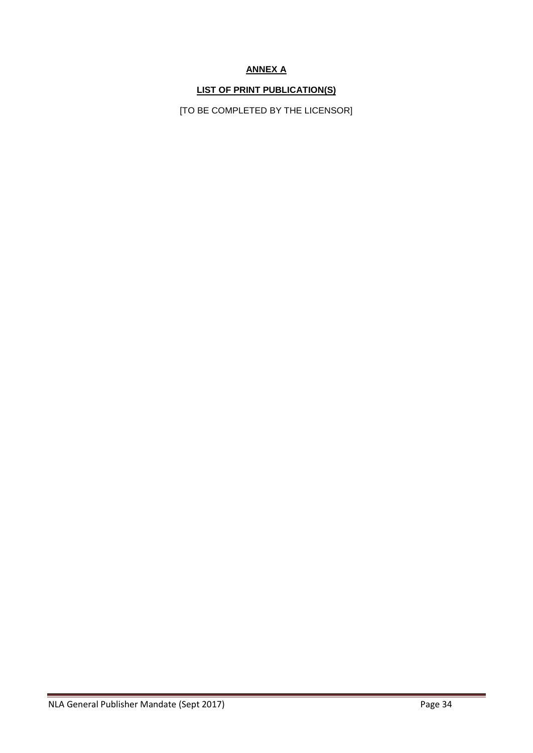# **ANNEX A**

# **LIST OF PRINT PUBLICATION(S)**

[TO BE COMPLETED BY THE LICENSOR]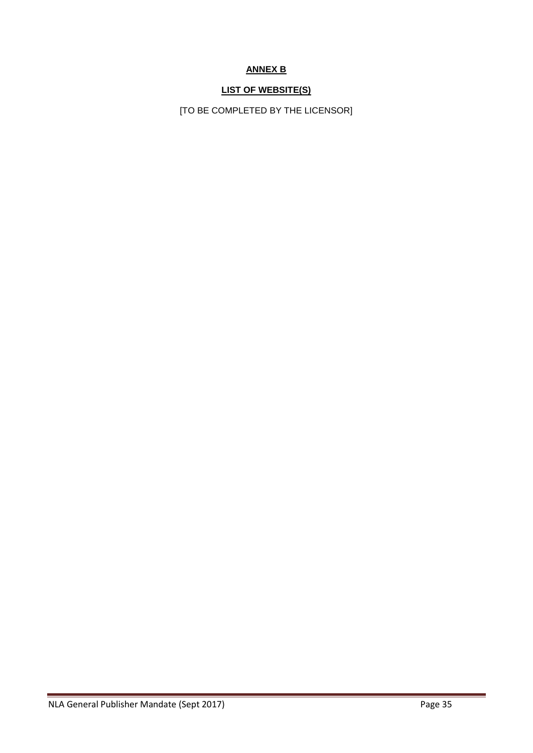# **ANNEX B**

# **LIST OF WEBSITE(S)**

[TO BE COMPLETED BY THE LICENSOR]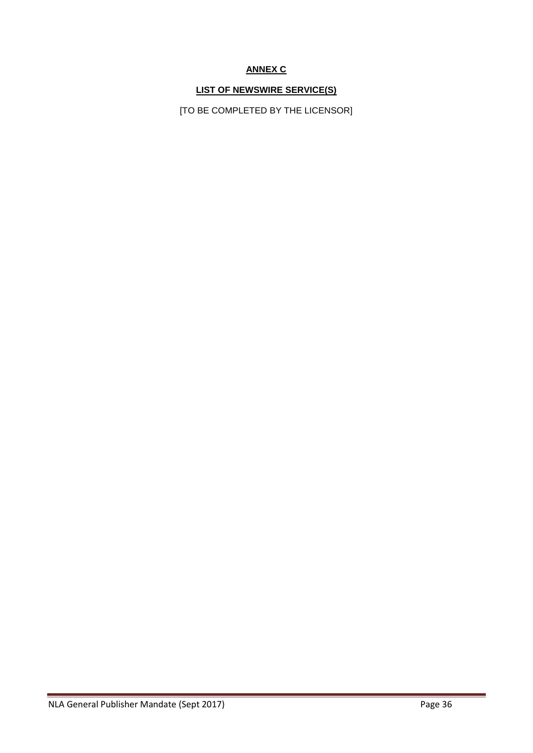# **ANNEX C**

# **LIST OF NEWSWIRE SERVICE(S)**

[TO BE COMPLETED BY THE LICENSOR]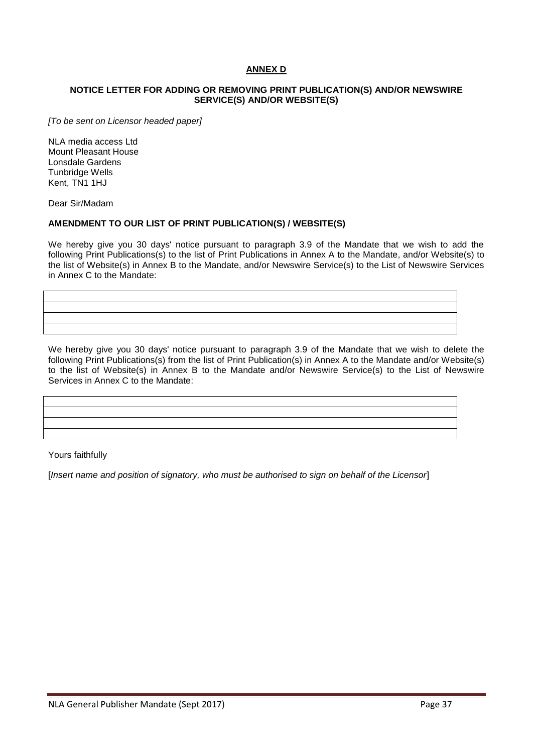# **ANNEX D**

#### **NOTICE LETTER FOR ADDING OR REMOVING PRINT PUBLICATION(S) AND/OR NEWSWIRE SERVICE(S) AND/OR WEBSITE(S)**

*[To be sent on Licensor headed paper]*

NLA media access Ltd Mount Pleasant House Lonsdale Gardens Tunbridge Wells Kent, TN1 1HJ

Dear Sir/Madam

#### **AMENDMENT TO OUR LIST OF PRINT PUBLICATION(S) / WEBSITE(S)**

We hereby give you 30 days' notice pursuant to paragraph 3.9 of the Mandate that we wish to add the following Print Publications(s) to the list of Print Publications in Annex A to the Mandate, and/or Website(s) to the list of Website(s) in Annex B to the Mandate, and/or Newswire Service(s) to the List of Newswire Services in Annex C to the Mandate:

We hereby give you 30 days' notice pursuant to paragraph 3.9 of the Mandate that we wish to delete the following Print Publications(s) from the list of Print Publication(s) in Annex A to the Mandate and/or Website(s) to the list of Website(s) in Annex B to the Mandate and/or Newswire Service(s) to the List of Newswire Services in Annex C to the Mandate:

Yours faithfully

[*Insert name and position of signatory, who must be authorised to sign on behalf of the Licensor*]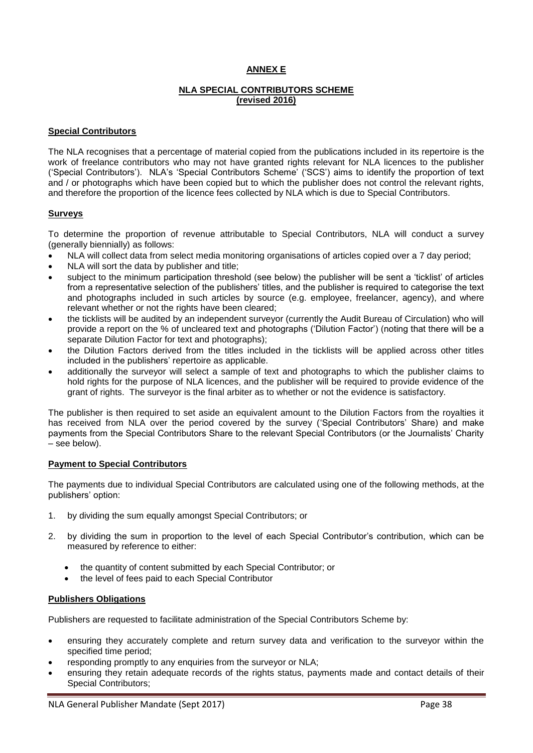# **ANNEX E**

## **NLA SPECIAL CONTRIBUTORS SCHEME (revised 2016)**

#### **Special Contributors**

The NLA recognises that a percentage of material copied from the publications included in its repertoire is the work of freelance contributors who may not have granted rights relevant for NLA licences to the publisher ('Special Contributors'). NLA's 'Special Contributors Scheme' ('SCS') aims to identify the proportion of text and / or photographs which have been copied but to which the publisher does not control the relevant rights, and therefore the proportion of the licence fees collected by NLA which is due to Special Contributors.

#### **Surveys**

To determine the proportion of revenue attributable to Special Contributors, NLA will conduct a survey (generally biennially) as follows:

- NLA will collect data from select media monitoring organisations of articles copied over a 7 day period;
- NLA will sort the data by publisher and title;
- subject to the minimum participation threshold (see below) the publisher will be sent a 'ticklist' of articles from a representative selection of the publishers' titles, and the publisher is required to categorise the text and photographs included in such articles by source (e.g. employee, freelancer, agency), and where relevant whether or not the rights have been cleared;
- the ticklists will be audited by an independent surveyor (currently the Audit Bureau of Circulation) who will provide a report on the % of uncleared text and photographs ('Dilution Factor') (noting that there will be a separate Dilution Factor for text and photographs);
- the Dilution Factors derived from the titles included in the ticklists will be applied across other titles included in the publishers' repertoire as applicable.
- additionally the surveyor will select a sample of text and photographs to which the publisher claims to hold rights for the purpose of NLA licences, and the publisher will be required to provide evidence of the grant of rights. The surveyor is the final arbiter as to whether or not the evidence is satisfactory.

The publisher is then required to set aside an equivalent amount to the Dilution Factors from the royalties it has received from NLA over the period covered by the survey ('Special Contributors' Share) and make payments from the Special Contributors Share to the relevant Special Contributors (or the Journalists' Charity – see below).

#### **Payment to Special Contributors**

The payments due to individual Special Contributors are calculated using one of the following methods, at the publishers' option:

- 1. by dividing the sum equally amongst Special Contributors; or
- 2. by dividing the sum in proportion to the level of each Special Contributor's contribution, which can be measured by reference to either:
	- the quantity of content submitted by each Special Contributor; or
	- the level of fees paid to each Special Contributor

#### **Publishers Obligations**

Publishers are requested to facilitate administration of the Special Contributors Scheme by:

- ensuring they accurately complete and return survey data and verification to the surveyor within the specified time period;
- responding promptly to any enquiries from the surveyor or NLA;
- ensuring they retain adequate records of the rights status, payments made and contact details of their Special Contributors;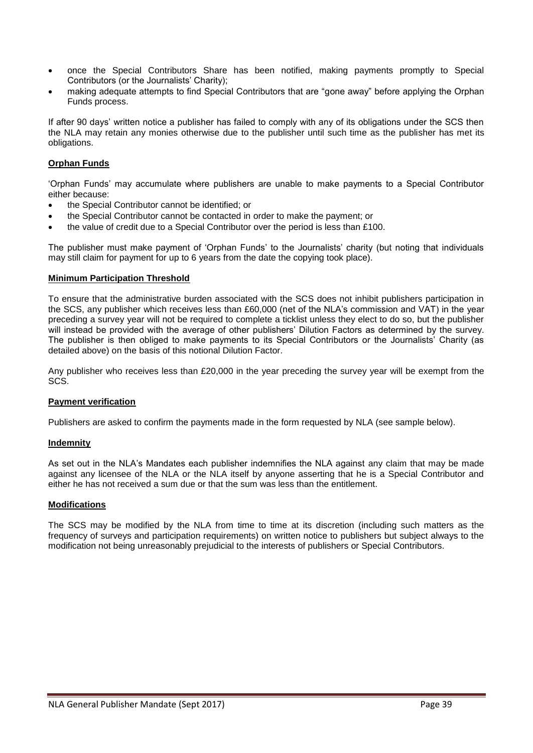- once the Special Contributors Share has been notified, making payments promptly to Special Contributors (or the Journalists' Charity);
- making adequate attempts to find Special Contributors that are "gone away" before applying the Orphan Funds process.

If after 90 days' written notice a publisher has failed to comply with any of its obligations under the SCS then the NLA may retain any monies otherwise due to the publisher until such time as the publisher has met its obligations.

## **Orphan Funds**

'Orphan Funds' may accumulate where publishers are unable to make payments to a Special Contributor either because:

- the Special Contributor cannot be identified; or
- the Special Contributor cannot be contacted in order to make the payment; or
- the value of credit due to a Special Contributor over the period is less than £100.

The publisher must make payment of 'Orphan Funds' to the Journalists' charity (but noting that individuals may still claim for payment for up to 6 years from the date the copying took place).

#### **Minimum Participation Threshold**

To ensure that the administrative burden associated with the SCS does not inhibit publishers participation in the SCS, any publisher which receives less than £60,000 (net of the NLA's commission and VAT) in the year preceding a survey year will not be required to complete a ticklist unless they elect to do so, but the publisher will instead be provided with the average of other publishers' Dilution Factors as determined by the survey. The publisher is then obliged to make payments to its Special Contributors or the Journalists' Charity (as detailed above) on the basis of this notional Dilution Factor.

Any publisher who receives less than £20,000 in the year preceding the survey year will be exempt from the SCS.

## **Payment verification**

Publishers are asked to confirm the payments made in the form requested by NLA (see sample below).

## **Indemnity**

As set out in the NLA's Mandates each publisher indemnifies the NLA against any claim that may be made against any licensee of the NLA or the NLA itself by anyone asserting that he is a Special Contributor and either he has not received a sum due or that the sum was less than the entitlement.

## **Modifications**

The SCS may be modified by the NLA from time to time at its discretion (including such matters as the frequency of surveys and participation requirements) on written notice to publishers but subject always to the modification not being unreasonably prejudicial to the interests of publishers or Special Contributors.